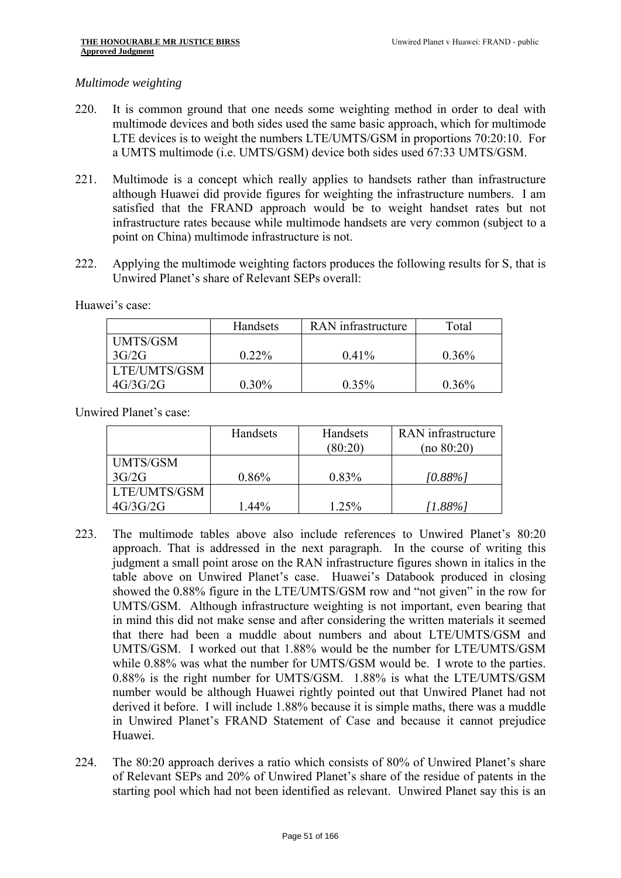#### *Multimode weighting*

- 220. It is common ground that one needs some weighting method in order to deal with multimode devices and both sides used the same basic approach, which for multimode LTE devices is to weight the numbers LTE/UMTS/GSM in proportions 70:20:10. For a UMTS multimode (i.e. UMTS/GSM) device both sides used 67:33 UMTS/GSM.
- 221. Multimode is a concept which really applies to handsets rather than infrastructure although Huawei did provide figures for weighting the infrastructure numbers. I am satisfied that the FRAND approach would be to weight handset rates but not infrastructure rates because while multimode handsets are very common (subject to a point on China) multimode infrastructure is not.
- 222. Applying the multimode weighting factors produces the following results for S, that is Unwired Planet's share of Relevant SEPs overall:

Huawei's case:

|                 | Handsets | RAN infrastructure |          |
|-----------------|----------|--------------------|----------|
| <b>UMTS/GSM</b> |          |                    |          |
| 3G/2G           | $0.22\%$ | $0.41\%$           | $0.36\%$ |
| LTE/UMTS/GSM    |          |                    |          |
| 4G/3G/2G        | $0.30\%$ | $0.35\%$           | 0.36%    |

Unwired Planet's case:

|                 | Handsets | Handsets<br>(80:20) | RAN infrastructure<br>(no 80:20) |
|-----------------|----------|---------------------|----------------------------------|
| <b>UMTS/GSM</b> |          |                     |                                  |
| 3G/2G           | $0.86\%$ | $0.83\%$            | $[0.88\%]$                       |
| LTE/UMTS/GSM    |          |                     |                                  |
| 4G/3G/2G        | 1.44%    | 1.25%               | [1.88%]                          |

- 223. The multimode tables above also include references to Unwired Planet's 80:20 approach. That is addressed in the next paragraph. In the course of writing this judgment a small point arose on the RAN infrastructure figures shown in italics in the table above on Unwired Planet's case. Huawei's Databook produced in closing showed the 0.88% figure in the LTE/UMTS/GSM row and "not given" in the row for UMTS/GSM. Although infrastructure weighting is not important, even bearing that in mind this did not make sense and after considering the written materials it seemed that there had been a muddle about numbers and about LTE/UMTS/GSM and UMTS/GSM. I worked out that 1.88% would be the number for LTE/UMTS/GSM while  $0.88\%$  was what the number for UMTS/GSM would be. I wrote to the parties. 0.88% is the right number for UMTS/GSM. 1.88% is what the LTE/UMTS/GSM number would be although Huawei rightly pointed out that Unwired Planet had not derived it before. I will include 1.88% because it is simple maths, there was a muddle in Unwired Planet's FRAND Statement of Case and because it cannot prejudice Huawei.
- 224. The 80:20 approach derives a ratio which consists of 80% of Unwired Planet's share of Relevant SEPs and 20% of Unwired Planet's share of the residue of patents in the starting pool which had not been identified as relevant. Unwired Planet say this is an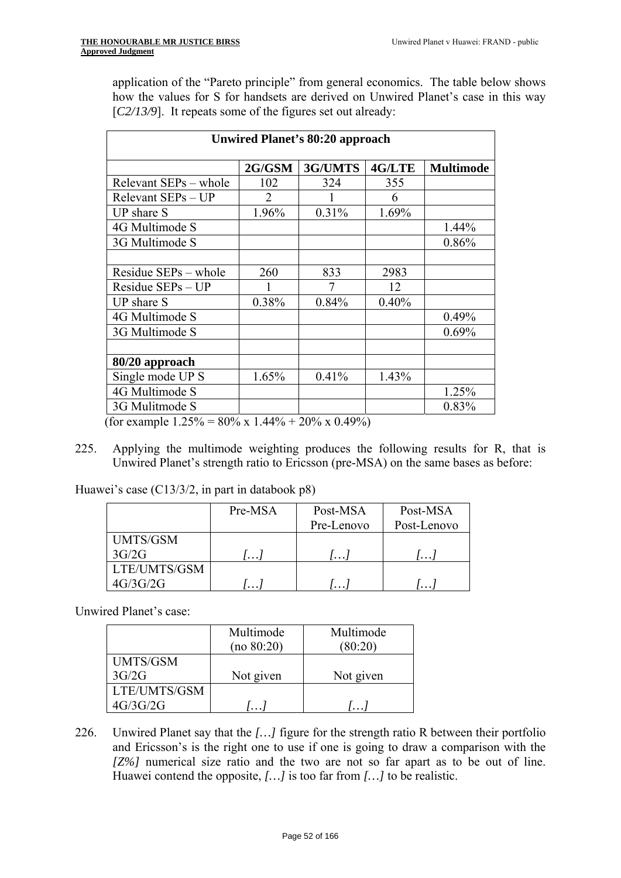application of the "Pareto principle" from general economics. The table below shows how the values for S for handsets are derived on Unwired Planet's case in this way [*C2/13/9*]. It repeats some of the figures set out already:

| <b>Unwired Planet's 80:20 approach</b>          |       |                      |       |       |  |  |  |
|-------------------------------------------------|-------|----------------------|-------|-------|--|--|--|
| 3G/UMTS<br>4G/LTE<br>2G/GSM<br><b>Multimode</b> |       |                      |       |       |  |  |  |
| Relevant SEPs – whole                           | 102   | 324                  | 355   |       |  |  |  |
| Relevant SEPs - UP                              | 2     |                      | 6     |       |  |  |  |
| <b>UP</b> share S                               | 1.96% | 0.31%                | 1.69% |       |  |  |  |
| 4G Multimode S                                  |       |                      |       | 1.44% |  |  |  |
| 3G Multimode S                                  |       |                      |       | 0.86% |  |  |  |
|                                                 |       |                      |       |       |  |  |  |
| Residue SEPs – whole                            | 260   | 833                  | 2983  |       |  |  |  |
| Residue SEPs - UP                               |       | 7                    | 12    |       |  |  |  |
| <b>UP</b> share S                               | 0.38% | 0.84%                | 0.40% |       |  |  |  |
| 4G Multimode S                                  |       |                      |       | 0.49% |  |  |  |
| 3G Multimode S                                  |       |                      |       | 0.69% |  |  |  |
|                                                 |       |                      |       |       |  |  |  |
| 80/20 approach                                  |       |                      |       |       |  |  |  |
| Single mode UP S                                | 1.65% | 0.41%                | 1.43% |       |  |  |  |
| 4G Multimode S                                  |       |                      |       | 1.25% |  |  |  |
| 3G Mulitmode S                                  |       | $\sim$ $\sim$ $\sim$ |       | 0.83% |  |  |  |

(for example  $1.25\% = 80\% \times 1.44\% + 20\% \times 0.49\%)$ )

225. Applying the multimode weighting produces the following results for R, that is Unwired Planet's strength ratio to Ericsson (pre-MSA) on the same bases as before:

Huawei's case (C13/3/2, in part in databook p8)

|              | Pre-MSA  | Post-MSA<br>Pre-Lenovo | Post-MSA<br>Post-Lenovo |  |
|--------------|----------|------------------------|-------------------------|--|
|              |          |                        |                         |  |
| UMTS/GSM     |          |                        |                         |  |
| 3G/2G        | $\cdots$ | $^{\prime}$            | $\cdots$                |  |
| LTE/UMTS/GSM |          |                        |                         |  |
| 4G/3G/2G     | $\cdots$ | $\cdots$               | $\cdots$                |  |

Unwired Planet's case:

|                 | Multimode  | Multimode  |
|-----------------|------------|------------|
|                 | (no 80:20) | (80:20)    |
| <b>UMTS/GSM</b> |            |            |
| 3G/2G           | Not given  | Not given  |
| LTE/UMTS/GSM    |            |            |
| 4G/3G/2G        | $\dddotsc$ | $\dddotsc$ |

 *[Z%]* numerical size ratio and the two are not so far apart as to be out of line. 226. Unwired Planet say that the *[...]* figure for the strength ratio R between their portfolio and Ericsson's is the right one to use if one is going to draw a comparison with the Huawei contend the opposite, *[…]* is too far from *[…]* to be realistic.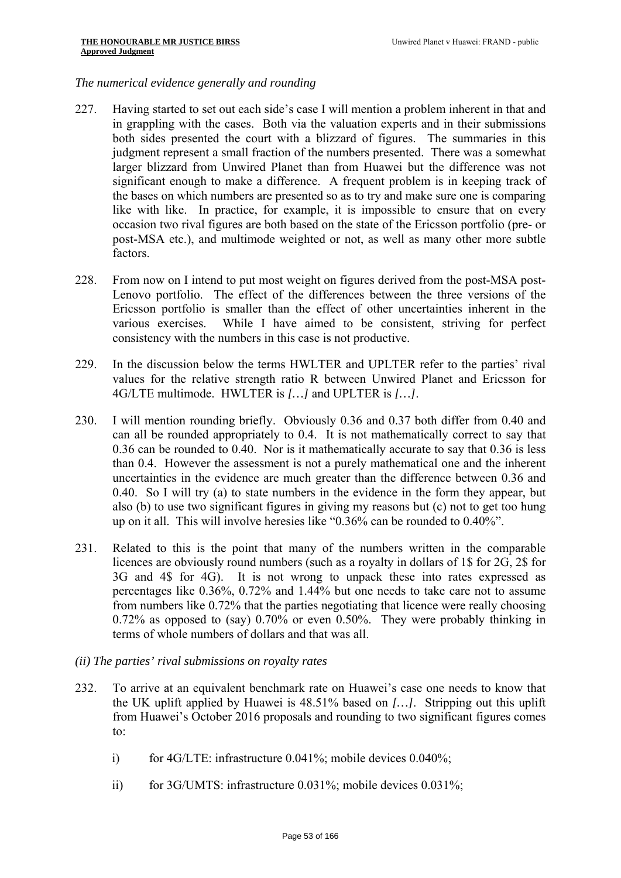## *The numerical evidence generally and rounding*

- 227. Having started to set out each side's case I will mention a problem inherent in that and in grappling with the cases. Both via the valuation experts and in their submissions both sides presented the court with a blizzard of figures. The summaries in this judgment represent a small fraction of the numbers presented. There was a somewhat larger blizzard from Unwired Planet than from Huawei but the difference was not significant enough to make a difference. A frequent problem is in keeping track of the bases on which numbers are presented so as to try and make sure one is comparing like with like. In practice, for example, it is impossible to ensure that on every occasion two rival figures are both based on the state of the Ericsson portfolio (pre- or post-MSA etc.), and multimode weighted or not, as well as many other more subtle factors.
- 228. From now on I intend to put most weight on figures derived from the post-MSA post-Lenovo portfolio. The effect of the differences between the three versions of the Ericsson portfolio is smaller than the effect of other uncertainties inherent in the various exercises. While I have aimed to be consistent, striving for perfect consistency with the numbers in this case is not productive.
- 229. In the discussion below the terms HWLTER and UPLTER refer to the parties' rival values for the relative strength ratio R between Unwired Planet and Ericsson for 4G/LTE multimode. HWLTER is *[…]* and UPLTER is *[…]*.
- 230. I will mention rounding briefly. Obviously 0.36 and 0.37 both differ from 0.40 and can all be rounded appropriately to 0.4. It is not mathematically correct to say that 0.36 can be rounded to 0.40. Nor is it mathematically accurate to say that 0.36 is less than 0.4. However the assessment is not a purely mathematical one and the inherent uncertainties in the evidence are much greater than the difference between 0.36 and 0.40. So I will try (a) to state numbers in the evidence in the form they appear, but also (b) to use two significant figures in giving my reasons but (c) not to get too hung up on it all. This will involve heresies like "0.36% can be rounded to 0.40%".
- 231. Related to this is the point that many of the numbers written in the comparable licences are obviously round numbers (such as a royalty in dollars of 1\$ for 2G, 2\$ for 3G and 4\$ for 4G). It is not wrong to unpack these into rates expressed as percentages like 0.36%, 0.72% and 1.44% but one needs to take care not to assume from numbers like 0.72% that the parties negotiating that licence were really choosing 0.72% as opposed to (say) 0.70% or even 0.50%. They were probably thinking in terms of whole numbers of dollars and that was all.
- *(ii) The parties' rival submissions on royalty rates*
- 232. To arrive at an equivalent benchmark rate on Huawei's case one needs to know that the UK uplift applied by Huawei is 48.51% based on *[…]*. Stripping out this uplift from Huawei's October 2016 proposals and rounding to two significant figures comes to:
	- i) for 4G/LTE: infrastructure 0.041%; mobile devices 0.040%;
	- ii) for 3G/UMTS: infrastructure 0.031%; mobile devices 0.031%;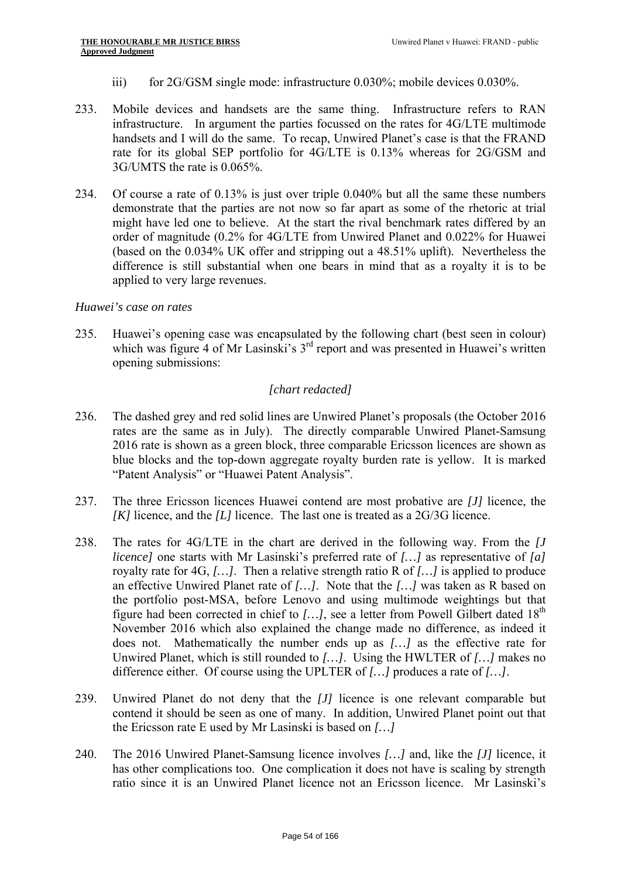- iii) for 2G/GSM single mode: infrastructure 0.030%; mobile devices 0.030%.
- 233. Mobile devices and handsets are the same thing. Infrastructure refers to RAN infrastructure. In argument the parties focussed on the rates for 4G/LTE multimode handsets and I will do the same. To recap, Unwired Planet's case is that the FRAND rate for its global SEP portfolio for 4G/LTE is 0.13% whereas for 2G/GSM and 3G/UMTS the rate is 0.065%.
- 234. Of course a rate of 0.13% is just over triple 0.040% but all the same these numbers demonstrate that the parties are not now so far apart as some of the rhetoric at trial might have led one to believe. At the start the rival benchmark rates differed by an order of magnitude (0.2% for 4G/LTE from Unwired Planet and 0.022% for Huawei (based on the 0.034% UK offer and stripping out a 48.51% uplift). Nevertheless the difference is still substantial when one bears in mind that as a royalty it is to be applied to very large revenues.

## *Huawei's case on rates*

235. Huawei's opening case was encapsulated by the following chart (best seen in colour) which was figure 4 of Mr Lasinski's 3<sup>rd</sup> report and was presented in Huawei's written opening submissions:

# *[chart redacted]*

- 236. The dashed grey and red solid lines are Unwired Planet's proposals (the October 2016 rates are the same as in July). The directly comparable Unwired Planet-Samsung 2016 rate is shown as a green block, three comparable Ericsson licences are shown as blue blocks and the top-down aggregate royalty burden rate is yellow. It is marked "Patent Analysis" or "Huawei Patent Analysis".
- 237. The three Ericsson licences Huawei contend are most probative are *[J]* licence, the *[K]* licence, and the *[L]* licence. The last one is treated as a 2G/3G licence.
- 238. The rates for 4G/LTE in the chart are derived in the following way. From the *[J licence]* one starts with Mr Lasinski's preferred rate of *[…]* as representative of *[a]*  royalty rate for 4G, *[…]*. Then a relative strength ratio R of *[…]* is applied to produce an effective Unwired Planet rate of *[…]*. Note that the *[…]* was taken as R based on the portfolio post-MSA, before Lenovo and using multimode weightings but that figure had been corrected in chief to  $[...]$ , see a letter from Powell Gilbert dated  $18<sup>th</sup>$ November 2016 which also explained the change made no difference, as indeed it does not. Mathematically the number ends up as *[…]* as the effective rate for Unwired Planet, which is still rounded to *[…]*. Using the HWLTER of *[…]* makes no difference either. Of course using the UPLTER of *[…]* produces a rate of *[…]*.
- 239. Unwired Planet do not deny that the *[J]* licence is one relevant comparable but contend it should be seen as one of many. In addition, Unwired Planet point out that the Ericsson rate E used by Mr Lasinski is based on *[…]*
- 240. The 2016 Unwired Planet-Samsung licence involves *[…]* and, like the *[J]* licence, it has other complications too. One complication it does not have is scaling by strength ratio since it is an Unwired Planet licence not an Ericsson licence. Mr Lasinski's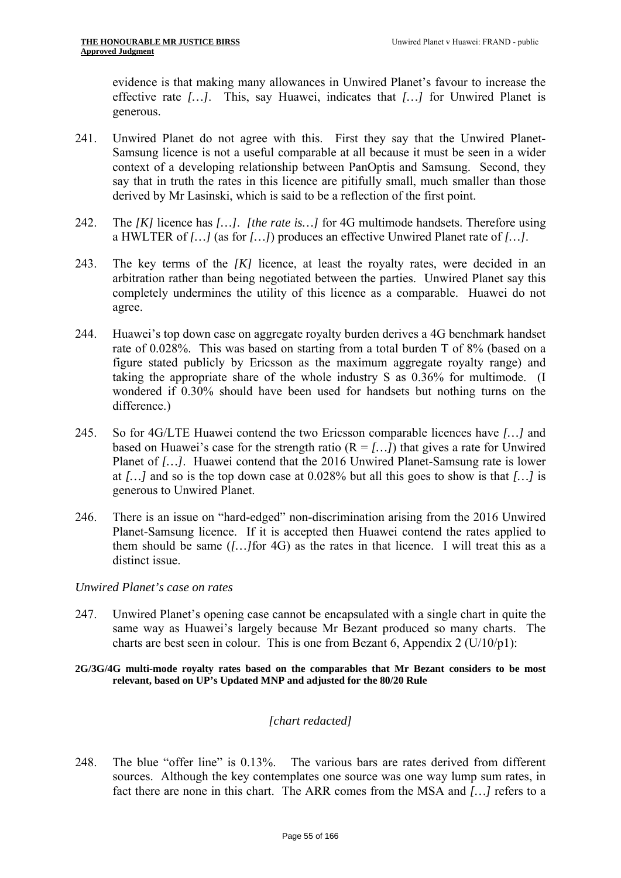evidence is that making many allowances in Unwired Planet's favour to increase the effective rate *[…]*. This, say Huawei, indicates that *[…]* for Unwired Planet is generous.

- 241. Unwired Planet do not agree with this. First they say that the Unwired Planet-Samsung licence is not a useful comparable at all because it must be seen in a wider context of a developing relationship between PanOptis and Samsung. Second, they say that in truth the rates in this licence are pitifully small, much smaller than those derived by Mr Lasinski, which is said to be a reflection of the first point.
- 242. The *[K]* licence has *[…]*. *[the rate is…]* for 4G multimode handsets. Therefore using a HWLTER of *[…]* (as for *[…]*) produces an effective Unwired Planet rate of *[…]*.
- 243. The key terms of the *[K]* licence, at least the royalty rates, were decided in an arbitration rather than being negotiated between the parties. Unwired Planet say this completely undermines the utility of this licence as a comparable. Huawei do not agree.
- 244. Huawei's top down case on aggregate royalty burden derives a 4G benchmark handset rate of 0.028%. This was based on starting from a total burden T of 8% (based on a figure stated publicly by Ericsson as the maximum aggregate royalty range) and taking the appropriate share of the whole industry S as 0.36% for multimode. (I wondered if 0.30% should have been used for handsets but nothing turns on the difference.)
- 245. So for 4G/LTE Huawei contend the two Ericsson comparable licences have *[…]* and based on Huawei's case for the strength ratio  $(R = f...l)$  that gives a rate for Unwired Planet of *[…]*. Huawei contend that the 2016 Unwired Planet-Samsung rate is lower at *[…]* and so is the top down case at 0.028% but all this goes to show is that *[…]* is generous to Unwired Planet.
- 246. There is an issue on "hard-edged" non-discrimination arising from the 2016 Unwired Planet-Samsung licence. If it is accepted then Huawei contend the rates applied to them should be same (*[…]*for 4G) as the rates in that licence. I will treat this as a distinct issue.

#### *Unwired Planet's case on rates*

- 247. Unwired Planet's opening case cannot be encapsulated with a single chart in quite the same way as Huawei's largely because Mr Bezant produced so many charts. The charts are best seen in colour. This is one from Bezant 6, Appendix 2 (U/10/p1):
- **relevant, based on UP's Updated MNP and adjusted for the 80/20 Rule 2G/3G/4G multi-mode royalty rates based on the comparables that Mr Bezant considers to be most**

## *[chart redacted]*

248. The blue "offer line" is 0.13%. The various bars are rates derived from different sources. Although the key contemplates one source was one way lump sum rates, in fact there are none in this chart. The ARR comes from the MSA and *[…]* refers to a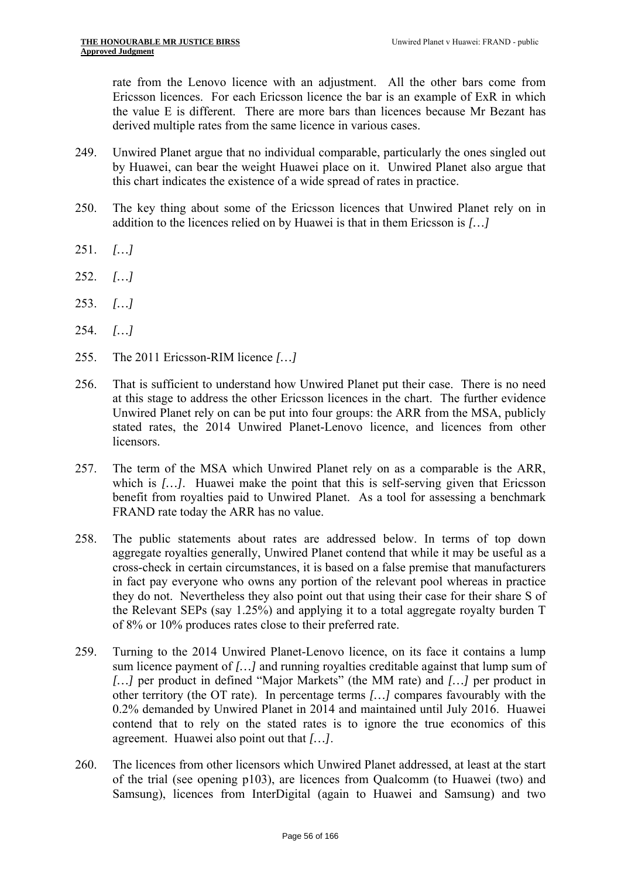rate from the Lenovo licence with an adjustment. All the other bars come from Ericsson licences. For each Ericsson licence the bar is an example of ExR in which the value E is different. There are more bars than licences because Mr Bezant has derived multiple rates from the same licence in various cases.

- 249. Unwired Planet argue that no individual comparable, particularly the ones singled out by Huawei, can bear the weight Huawei place on it. Unwired Planet also argue that this chart indicates the existence of a wide spread of rates in practice.
- 250. The key thing about some of the Ericsson licences that Unwired Planet rely on in addition to the licences relied on by Huawei is that in them Ericsson is *[…]*
- 251. *[…]*
- 252. *[…]*
- 253. *[…]*
- 254. *[…]*
- 255. The 2011 Ericsson-RIM licence *[…]*
- 256. That is sufficient to understand how Unwired Planet put their case. There is no need at this stage to address the other Ericsson licences in the chart. The further evidence Unwired Planet rely on can be put into four groups: the ARR from the MSA, publicly stated rates, the 2014 Unwired Planet-Lenovo licence, and licences from other licensors.
- 257. The term of the MSA which Unwired Planet rely on as a comparable is the ARR, which is *[…]*. Huawei make the point that this is self-serving given that Ericsson benefit from royalties paid to Unwired Planet. As a tool for assessing a benchmark FRAND rate today the ARR has no value.
- 258. The public statements about rates are addressed below. In terms of top down aggregate royalties generally, Unwired Planet contend that while it may be useful as a cross-check in certain circumstances, it is based on a false premise that manufacturers in fact pay everyone who owns any portion of the relevant pool whereas in practice they do not. Nevertheless they also point out that using their case for their share S of the Relevant SEPs (say 1.25%) and applying it to a total aggregate royalty burden T of 8% or 10% produces rates close to their preferred rate.
- 259. Turning to the 2014 Unwired Planet-Lenovo licence, on its face it contains a lump sum licence payment of *[…]* and running royalties creditable against that lump sum of *[…]* per product in defined "Major Markets" (the MM rate) and *[…]* per product in other territory (the OT rate). In percentage terms *[…]* compares favourably with the 0.2% demanded by Unwired Planet in 2014 and maintained until July 2016. Huawei contend that to rely on the stated rates is to ignore the true economics of this agreement. Huawei also point out that *[…]*.
- 260. The licences from other licensors which Unwired Planet addressed, at least at the start of the trial (see opening p103), are licences from Qualcomm (to Huawei (two) and Samsung), licences from InterDigital (again to Huawei and Samsung) and two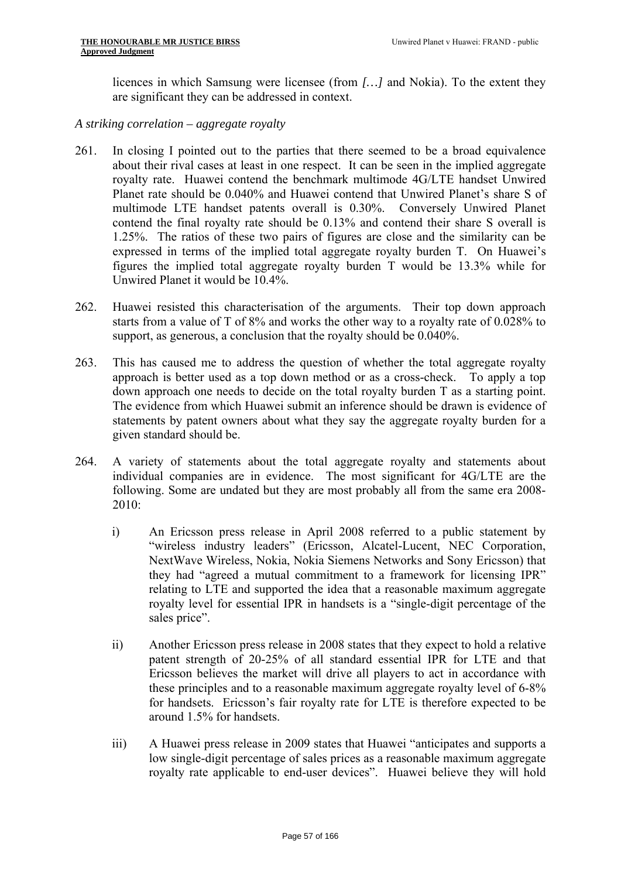licences in which Samsung were licensee (from *[…]* and Nokia). To the extent they are significant they can be addressed in context.

- *A striking correlation aggregate royalty*
- 261. In closing I pointed out to the parties that there seemed to be a broad equivalence about their rival cases at least in one respect. It can be seen in the implied aggregate royalty rate. Huawei contend the benchmark multimode 4G/LTE handset Unwired Planet rate should be 0.040% and Huawei contend that Unwired Planet's share S of multimode LTE handset patents overall is 0.30%. Conversely Unwired Planet contend the final royalty rate should be 0.13% and contend their share S overall is 1.25%. The ratios of these two pairs of figures are close and the similarity can be expressed in terms of the implied total aggregate royalty burden T. On Huawei's figures the implied total aggregate royalty burden T would be 13.3% while for Unwired Planet it would be 10.4%.
- 262. Huawei resisted this characterisation of the arguments. Their top down approach starts from a value of T of 8% and works the other way to a royalty rate of 0.028% to support, as generous, a conclusion that the royalty should be 0.040%.
- 263. This has caused me to address the question of whether the total aggregate royalty approach is better used as a top down method or as a cross-check. To apply a top down approach one needs to decide on the total royalty burden T as a starting point. The evidence from which Huawei submit an inference should be drawn is evidence of statements by patent owners about what they say the aggregate royalty burden for a given standard should be.
- 264. A variety of statements about the total aggregate royalty and statements about individual companies are in evidence. The most significant for 4G/LTE are the following. Some are undated but they are most probably all from the same era 2008 2010:
	- i) An Ericsson press release in April 2008 referred to a public statement by "wireless industry leaders" (Ericsson, Alcatel-Lucent, NEC Corporation, NextWave Wireless, Nokia, Nokia Siemens Networks and Sony Ericsson) that they had "agreed a mutual commitment to a framework for licensing IPR" relating to LTE and supported the idea that a reasonable maximum aggregate royalty level for essential IPR in handsets is a "single-digit percentage of the sales price".
	- ii) Another Ericsson press release in 2008 states that they expect to hold a relative patent strength of 20-25% of all standard essential IPR for LTE and that Ericsson believes the market will drive all players to act in accordance with these principles and to a reasonable maximum aggregate royalty level of 6-8% for handsets. Ericsson's fair royalty rate for LTE is therefore expected to be around 1.5% for handsets.
	- iii) A Huawei press release in 2009 states that Huawei "anticipates and supports a low single-digit percentage of sales prices as a reasonable maximum aggregate royalty rate applicable to end-user devices". Huawei believe they will hold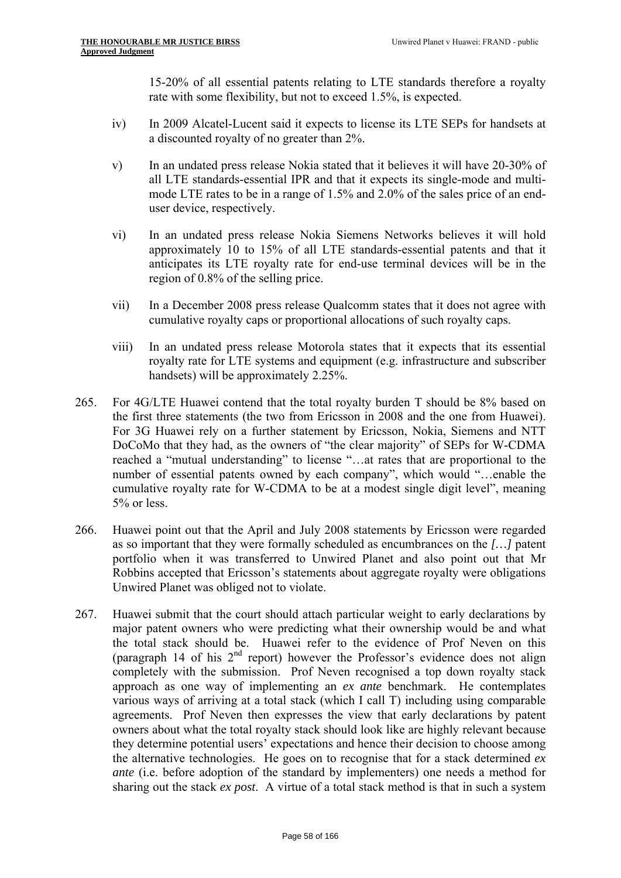15-20% of all essential patents relating to LTE standards therefore a royalty rate with some flexibility, but not to exceed 1.5%, is expected.

- iv) In 2009 Alcatel-Lucent said it expects to license its LTE SEPs for handsets at a discounted royalty of no greater than 2%.
- v) In an undated press release Nokia stated that it believes it will have 20-30% of all LTE standards-essential IPR and that it expects its single-mode and multimode LTE rates to be in a range of 1.5% and 2.0% of the sales price of an enduser device, respectively.
- vi) In an undated press release Nokia Siemens Networks believes it will hold approximately 10 to 15% of all LTE standards-essential patents and that it anticipates its LTE royalty rate for end-use terminal devices will be in the region of 0.8% of the selling price.
- vii) In a December 2008 press release Qualcomm states that it does not agree with cumulative royalty caps or proportional allocations of such royalty caps.
- viii) In an undated press release Motorola states that it expects that its essential royalty rate for LTE systems and equipment (e.g. infrastructure and subscriber handsets) will be approximately 2.25%.
- 265. For 4G/LTE Huawei contend that the total royalty burden T should be 8% based on the first three statements (the two from Ericsson in 2008 and the one from Huawei). For 3G Huawei rely on a further statement by Ericsson, Nokia, Siemens and NTT DoCoMo that they had, as the owners of "the clear majority" of SEPs for W-CDMA reached a "mutual understanding" to license "…at rates that are proportional to the number of essential patents owned by each company", which would "…enable the cumulative royalty rate for W-CDMA to be at a modest single digit level", meaning 5% or less.
- 266. Huawei point out that the April and July 2008 statements by Ericsson were regarded as so important that they were formally scheduled as encumbrances on the *[…]* patent portfolio when it was transferred to Unwired Planet and also point out that Mr Robbins accepted that Ericsson's statements about aggregate royalty were obligations Unwired Planet was obliged not to violate.
- 267. Huawei submit that the court should attach particular weight to early declarations by major patent owners who were predicting what their ownership would be and what the total stack should be. Huawei refer to the evidence of Prof Neven on this (paragraph 14 of his  $2<sup>nd</sup>$  report) however the Professor's evidence does not align completely with the submission. Prof Neven recognised a top down royalty stack approach as one way of implementing an *ex ante* benchmark. He contemplates various ways of arriving at a total stack (which I call T) including using comparable agreements. Prof Neven then expresses the view that early declarations by patent owners about what the total royalty stack should look like are highly relevant because they determine potential users' expectations and hence their decision to choose among the alternative technologies. He goes on to recognise that for a stack determined *ex ante* (i.e. before adoption of the standard by implementers) one needs a method for sharing out the stack *ex post*. A virtue of a total stack method is that in such a system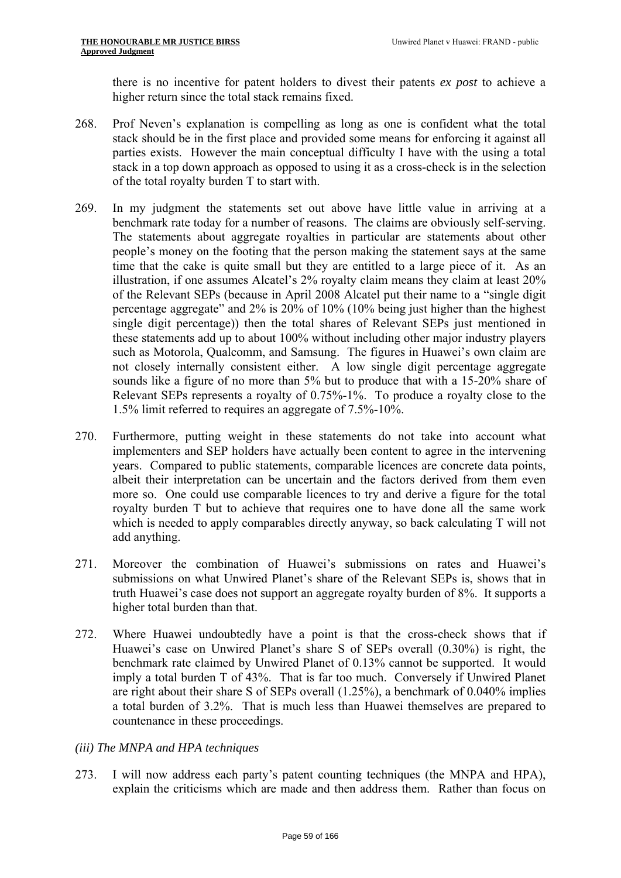there is no incentive for patent holders to divest their patents *ex post* to achieve a higher return since the total stack remains fixed.

- 268. Prof Neven's explanation is compelling as long as one is confident what the total stack should be in the first place and provided some means for enforcing it against all parties exists. However the main conceptual difficulty I have with the using a total stack in a top down approach as opposed to using it as a cross-check is in the selection of the total royalty burden T to start with.
- benchmark rate today for a number of reasons. The claims are obviously self-serving. 269. In my judgment the statements set out above have little value in arriving at a The statements about aggregate royalties in particular are statements about other people's money on the footing that the person making the statement says at the same time that the cake is quite small but they are entitled to a large piece of it. As an illustration, if one assumes Alcatel's 2% royalty claim means they claim at least 20% of the Relevant SEPs (because in April 2008 Alcatel put their name to a "single digit percentage aggregate" and 2% is 20% of 10% (10% being just higher than the highest single digit percentage)) then the total shares of Relevant SEPs just mentioned in these statements add up to about 100% without including other major industry players such as Motorola, Qualcomm, and Samsung. The figures in Huawei's own claim are not closely internally consistent either. A low single digit percentage aggregate sounds like a figure of no more than 5% but to produce that with a 15-20% share of Relevant SEPs represents a royalty of 0.75%-1%. To produce a royalty close to the 1.5% limit referred to requires an aggregate of 7.5%-10%.
- 270. Furthermore, putting weight in these statements do not take into account what implementers and SEP holders have actually been content to agree in the intervening years. Compared to public statements, comparable licences are concrete data points, albeit their interpretation can be uncertain and the factors derived from them even more so. One could use comparable licences to try and derive a figure for the total royalty burden T but to achieve that requires one to have done all the same work which is needed to apply comparables directly anyway, so back calculating T will not add anything.
- 271. Moreover the combination of Huawei's submissions on rates and Huawei's submissions on what Unwired Planet's share of the Relevant SEPs is, shows that in truth Huawei's case does not support an aggregate royalty burden of 8%. It supports a higher total burden than that.
- 272. Where Huawei undoubtedly have a point is that the cross-check shows that if Huawei's case on Unwired Planet's share S of SEPs overall (0.30%) is right, the benchmark rate claimed by Unwired Planet of 0.13% cannot be supported. It would imply a total burden T of 43%. That is far too much. Conversely if Unwired Planet are right about their share S of SEPs overall (1.25%), a benchmark of 0.040% implies a total burden of 3.2%. That is much less than Huawei themselves are prepared to countenance in these proceedings.

# *(iii) The MNPA and HPA techniques*

273. I will now address each party's patent counting techniques (the MNPA and HPA), explain the criticisms which are made and then address them. Rather than focus on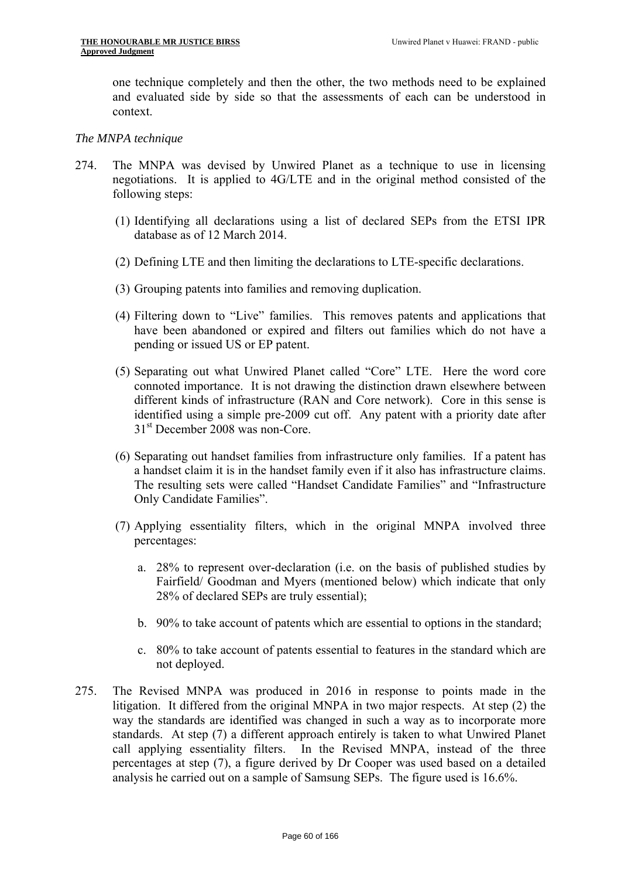one technique completely and then the other, the two methods need to be explained and evaluated side by side so that the assessments of each can be understood in context.

#### *The MNPA technique*

- 274. The MNPA was devised by Unwired Planet as a technique to use in licensing negotiations. It is applied to 4G/LTE and in the original method consisted of the following steps:
	- (1) Identifying all declarations using a list of declared SEPs from the ETSI IPR database as of 12 March 2014.
	- (2) Defining LTE and then limiting the declarations to LTE-specific declarations.
	- (3) Grouping patents into families and removing duplication.
	- (4) Filtering down to "Live" families. This removes patents and applications that have been abandoned or expired and filters out families which do not have a pending or issued US or EP patent.
	- (5) Separating out what Unwired Planet called "Core" LTE. Here the word core connoted importance. It is not drawing the distinction drawn elsewhere between different kinds of infrastructure (RAN and Core network). Core in this sense is identified using a simple pre-2009 cut off. Any patent with a priority date after 31<sup>st</sup> December 2008 was non-Core.
	- (6) Separating out handset families from infrastructure only families. If a patent has a handset claim it is in the handset family even if it also has infrastructure claims. The resulting sets were called "Handset Candidate Families" and "Infrastructure Only Candidate Families".
	- (7) Applying essentiality filters, which in the original MNPA involved three percentages:
		- a. 28% to represent over-declaration (i.e. on the basis of published studies by Fairfield/ Goodman and Myers (mentioned below) which indicate that only 28% of declared SEPs are truly essential);
		- b. 90% to take account of patents which are essential to options in the standard;
		- c. 80% to take account of patents essential to features in the standard which are not deployed.
- 275. The Revised MNPA was produced in 2016 in response to points made in the litigation. It differed from the original MNPA in two major respects. At step (2) the way the standards are identified was changed in such a way as to incorporate more standards. At step (7) a different approach entirely is taken to what Unwired Planet call applying essentiality filters. In the Revised MNPA, instead of the three percentages at step (7), a figure derived by Dr Cooper was used based on a detailed analysis he carried out on a sample of Samsung SEPs. The figure used is 16.6%.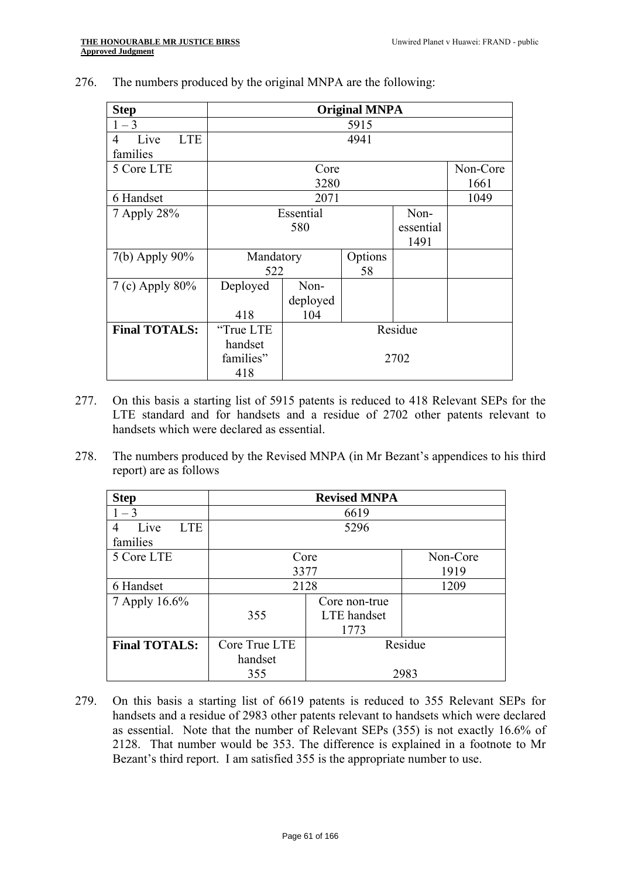| <b>Step</b>             | <b>Original MNPA</b> |           |         |           |          |  |
|-------------------------|----------------------|-----------|---------|-----------|----------|--|
| $1 - 3$                 | 5915                 |           |         |           |          |  |
| <b>LTE</b><br>Live<br>4 |                      |           | 4941    |           |          |  |
| families                |                      |           |         |           |          |  |
| 5 Core LTE              |                      | Core      |         |           | Non-Core |  |
|                         |                      | 3280      |         |           | 1661     |  |
| 6 Handset               |                      | 2071      |         |           | 1049     |  |
| 7 Apply 28%             |                      | Essential |         | Non-      |          |  |
|                         |                      | 580       |         | essential |          |  |
|                         |                      |           |         | 1491      |          |  |
| $7(b)$ Apply 90%        | Mandatory            |           | Options |           |          |  |
|                         | 522                  |           | 58      |           |          |  |
| 7 (c) Apply $80\%$      | Deployed             | Non-      |         |           |          |  |
|                         |                      | deployed  |         |           |          |  |
|                         | 418                  | 104       |         |           |          |  |
| <b>Final TOTALS:</b>    | "True LTE            | Residue   |         |           |          |  |
|                         | handset              |           |         |           |          |  |
|                         | families"            | 2702      |         |           |          |  |
|                         | 418                  |           |         |           |          |  |

276. The numbers produced by the original MNPA are the following:

- 277. On this basis a starting list of 5915 patents is reduced to 418 Relevant SEPs for the LTE standard and for handsets and a residue of 2702 other patents relevant to handsets which were declared as essential.
- 278. The numbers produced by the Revised MNPA (in Mr Bezant's appendices to his third report) are as follows

| <b>Step</b>             | <b>Revised MNPA</b>                 |         |          |  |  |
|-------------------------|-------------------------------------|---------|----------|--|--|
| $1 - 3$                 |                                     | 6619    |          |  |  |
| <b>LTE</b><br>Live<br>4 |                                     | 5296    |          |  |  |
| families                |                                     |         |          |  |  |
| 5 Core LTE              | Core                                |         | Non-Core |  |  |
|                         | 3377                                | 1919    |          |  |  |
| 6 Handset               | 2128                                |         | 1209     |  |  |
| 7 Apply 16.6%           | Core non-true<br>355<br>LTE handset |         |          |  |  |
|                         |                                     |         |          |  |  |
|                         |                                     | 1773    |          |  |  |
| <b>Final TOTALS:</b>    | Core True LTE                       | Residue |          |  |  |
|                         | handset                             |         |          |  |  |
|                         | 355                                 | 2983    |          |  |  |

279. On this basis a starting list of 6619 patents is reduced to 355 Relevant SEPs for handsets and a residue of 2983 other patents relevant to handsets which were declared as essential. Note that the number of Relevant SEPs (355) is not exactly 16.6% of 2128. That number would be 353. The difference is explained in a footnote to Mr Bezant's third report. I am satisfied 355 is the appropriate number to use.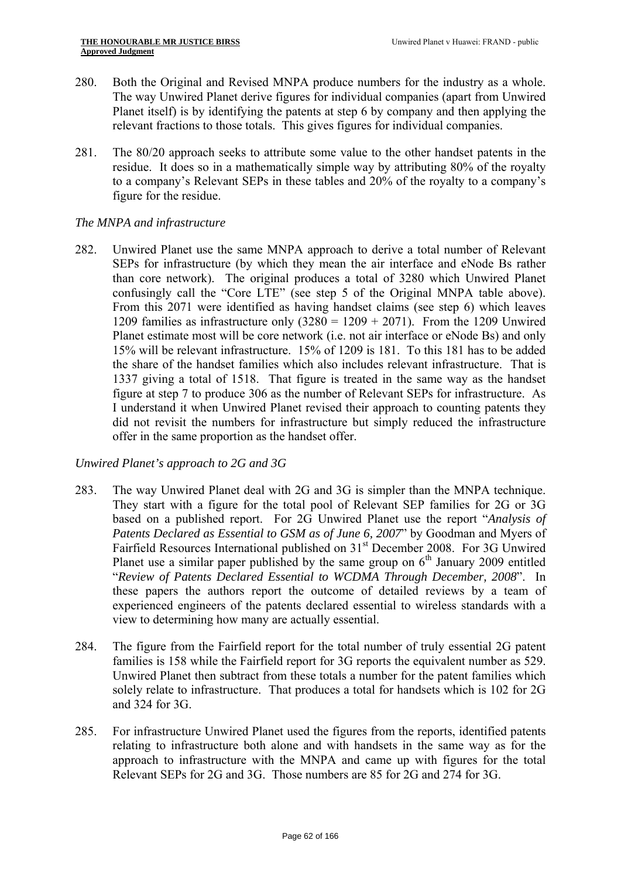- 280. Both the Original and Revised MNPA produce numbers for the industry as a whole. The way Unwired Planet derive figures for individual companies (apart from Unwired Planet itself) is by identifying the patents at step 6 by company and then applying the relevant fractions to those totals. This gives figures for individual companies.
- 281. The 80/20 approach seeks to attribute some value to the other handset patents in the residue. It does so in a mathematically simple way by attributing 80% of the royalty to a company's Relevant SEPs in these tables and 20% of the royalty to a company's figure for the residue.

# *The MNPA and infrastructure*

 confusingly call the "Core LTE" (see step 5 of the Original MNPA table above). From this 2071 were identified as having handset claims (see step 6) which leaves 282. Unwired Planet use the same MNPA approach to derive a total number of Relevant SEPs for infrastructure (by which they mean the air interface and eNode Bs rather than core network). The original produces a total of 3280 which Unwired Planet 1209 families as infrastructure only  $(3280 = 1209 + 2071)$ . From the 1209 Unwired Planet estimate most will be core network (i.e. not air interface or eNode Bs) and only 15% will be relevant infrastructure. 15% of 1209 is 181. To this 181 has to be added the share of the handset families which also includes relevant infrastructure. That is 1337 giving a total of 1518. That figure is treated in the same way as the handset figure at step 7 to produce 306 as the number of Relevant SEPs for infrastructure. As I understand it when Unwired Planet revised their approach to counting patents they did not revisit the numbers for infrastructure but simply reduced the infrastructure offer in the same proportion as the handset offer.

# *Unwired Planet's approach to 2G and 3G*

- 283. The way Unwired Planet deal with 2G and 3G is simpler than the MNPA technique. They start with a figure for the total pool of Relevant SEP families for 2G or 3G based on a published report. For 2G Unwired Planet use the report "*Analysis of Patents Declared as Essential to GSM as of June 6, 2007*" by Goodman and Myers of Fairfield Resources International published on 31<sup>st</sup> December 2008. For 3G Unwired Planet use a similar paper published by the same group on  $6<sup>th</sup>$  January 2009 entitled "*Review of Patents Declared Essential to WCDMA Through December, 2008*". In these papers the authors report the outcome of detailed reviews by a team of experienced engineers of the patents declared essential to wireless standards with a view to determining how many are actually essential.
- 284. The figure from the Fairfield report for the total number of truly essential 2G patent families is 158 while the Fairfield report for 3G reports the equivalent number as 529. Unwired Planet then subtract from these totals a number for the patent families which solely relate to infrastructure. That produces a total for handsets which is 102 for 2G and 324 for 3G.
- 285. For infrastructure Unwired Planet used the figures from the reports, identified patents relating to infrastructure both alone and with handsets in the same way as for the approach to infrastructure with the MNPA and came up with figures for the total Relevant SEPs for 2G and 3G. Those numbers are 85 for 2G and 274 for 3G.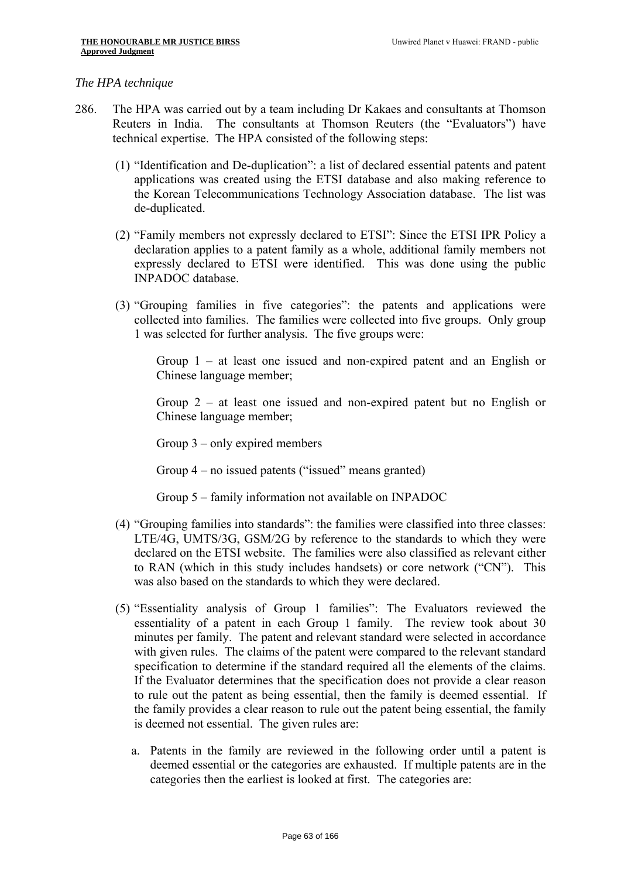#### *The HPA technique*

- 286. The HPA was carried out by a team including Dr Kakaes and consultants at Thomson Reuters in India. The consultants at Thomson Reuters (the "Evaluators") have technical expertise. The HPA consisted of the following steps:
	- (1) "Identification and De-duplication": a list of declared essential patents and patent applications was created using the ETSI database and also making reference to the Korean Telecommunications Technology Association database. The list was de-duplicated.
	- (2) "Family members not expressly declared to ETSI": Since the ETSI IPR Policy a declaration applies to a patent family as a whole, additional family members not expressly declared to ETSI were identified. This was done using the public INPADOC database.
	- (3) "Grouping families in five categories": the patents and applications were collected into families. The families were collected into five groups. Only group 1 was selected for further analysis. The five groups were:

Group 1 – at least one issued and non-expired patent and an English or Chinese language member;

Group 2 – at least one issued and non-expired patent but no English or Chinese language member;

Group 3 – only expired members

Group 4 – no issued patents ("issued" means granted)

- Group 5 family information not available on INPADOC
- (4) "Grouping families into standards": the families were classified into three classes: LTE/4G, UMTS/3G, GSM/2G by reference to the standards to which they were declared on the ETSI website. The families were also classified as relevant either to RAN (which in this study includes handsets) or core network ("CN"). This was also based on the standards to which they were declared.
- (5) "Essentiality analysis of Group 1 families": The Evaluators reviewed the essentiality of a patent in each Group 1 family. The review took about 30 minutes per family. The patent and relevant standard were selected in accordance with given rules. The claims of the patent were compared to the relevant standard specification to determine if the standard required all the elements of the claims. If the Evaluator determines that the specification does not provide a clear reason to rule out the patent as being essential, then the family is deemed essential. If the family provides a clear reason to rule out the patent being essential, the family is deemed not essential. The given rules are:
	- a. Patents in the family are reviewed in the following order until a patent is deemed essential or the categories are exhausted. If multiple patents are in the categories then the earliest is looked at first. The categories are: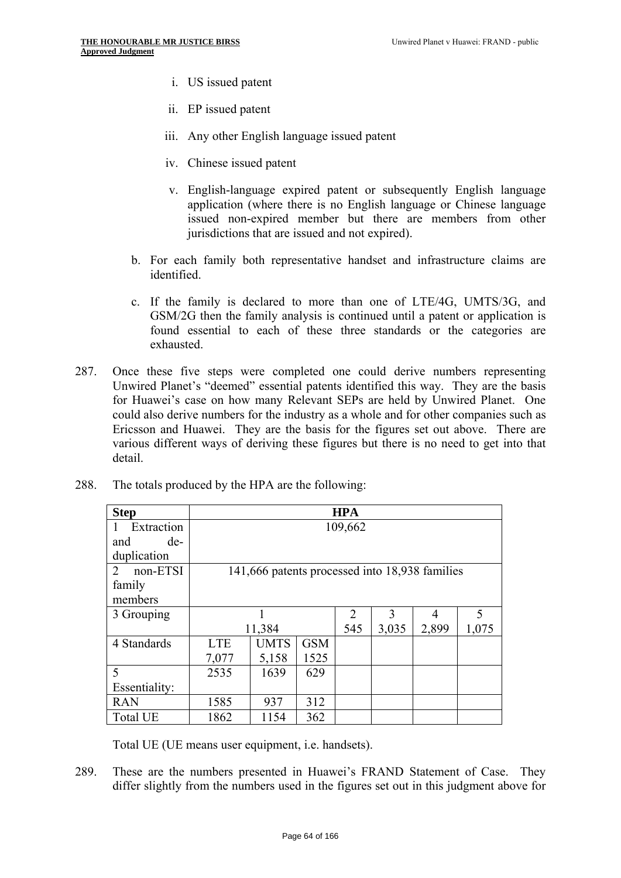- i. US issued patent
- ii. EP issued patent
- iii. Any other English language issued patent
- iv. Chinese issued patent
- v. English-language expired patent or subsequently English language application (where there is no English language or Chinese language issued non-expired member but there are members from other jurisdictions that are issued and not expired).
- b. For each family both representative handset and infrastructure claims are identified.
- c. If the family is declared to more than one of LTE/4G, UMTS/3G, and GSM/2G then the family analysis is continued until a patent or application is found essential to each of these three standards or the categories are exhausted.
- 287. Once these five steps were completed one could derive numbers representing Unwired Planet's "deemed" essential patents identified this way. They are the basis for Huawei's case on how many Relevant SEPs are held by Unwired Planet. One could also derive numbers for the industry as a whole and for other companies such as Ericsson and Huawei. They are the basis for the figures set out above. There are various different ways of deriving these figures but there is no need to get into that detail.

| <b>Step</b>                | <b>HPA</b> |                                                |            |     |       |       |       |
|----------------------------|------------|------------------------------------------------|------------|-----|-------|-------|-------|
| Extraction<br>$\mathbf{I}$ | 109,662    |                                                |            |     |       |       |       |
| de-<br>and                 |            |                                                |            |     |       |       |       |
| duplication                |            |                                                |            |     |       |       |       |
| non-ETSI<br>2              |            | 141,666 patents processed into 18,938 families |            |     |       |       |       |
| family                     |            |                                                |            |     |       |       |       |
| members                    |            |                                                |            |     |       |       |       |
| 3 Grouping                 |            |                                                |            | 2   | 3     | 4     | 5     |
|                            | 11,384     |                                                |            | 545 | 3,035 | 2,899 | 1,075 |
| 4 Standards                | <b>LTE</b> | <b>UMTS</b>                                    | <b>GSM</b> |     |       |       |       |
|                            | 7,077      | 5,158                                          | 1525       |     |       |       |       |
| 5                          | 2535       | 1639                                           | 629        |     |       |       |       |
| Essentiality:              |            |                                                |            |     |       |       |       |
| <b>RAN</b>                 | 1585       | 937                                            | 312        |     |       |       |       |
| <b>Total UE</b>            | 1862       | 1154                                           | 362        |     |       |       |       |

288. The totals produced by the HPA are the following:

Total UE (UE means user equipment, i.e. handsets).

289. These are the numbers presented in Huawei's FRAND Statement of Case. They differ slightly from the numbers used in the figures set out in this judgment above for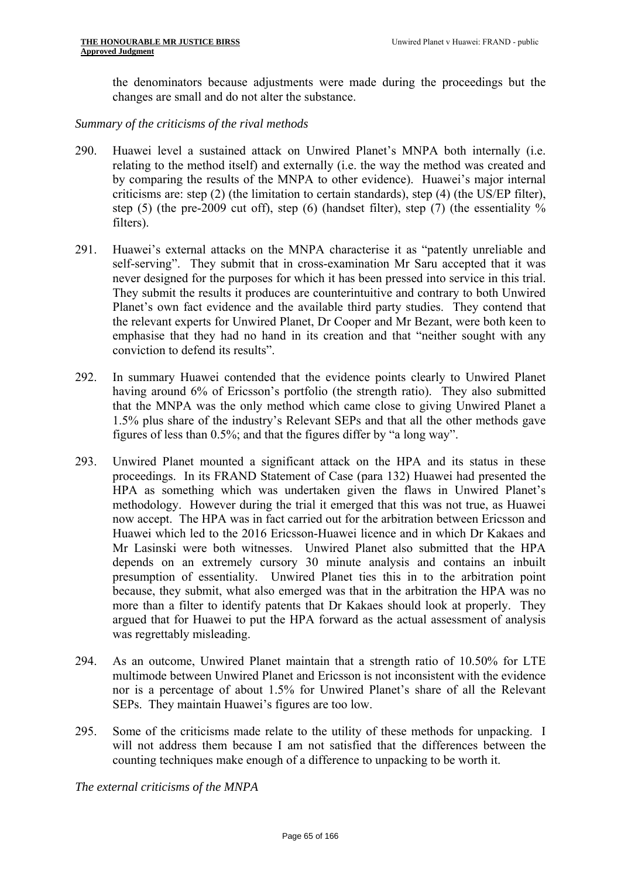the denominators because adjustments were made during the proceedings but the changes are small and do not alter the substance.

## *Summary of the criticisms of the rival methods*

- 290. Huawei level a sustained attack on Unwired Planet's MNPA both internally (i.e. relating to the method itself) and externally (i.e. the way the method was created and by comparing the results of the MNPA to other evidence). Huawei's major internal criticisms are: step (2) (the limitation to certain standards), step (4) (the US/EP filter), step (5) (the pre-2009 cut off), step (6) (handset filter), step (7) (the essentiality % filters).
- 291. Huawei's external attacks on the MNPA characterise it as "patently unreliable and self-serving". They submit that in cross-examination Mr Saru accepted that it was never designed for the purposes for which it has been pressed into service in this trial. They submit the results it produces are counterintuitive and contrary to both Unwired Planet's own fact evidence and the available third party studies. They contend that the relevant experts for Unwired Planet, Dr Cooper and Mr Bezant, were both keen to emphasise that they had no hand in its creation and that "neither sought with any conviction to defend its results".
- 292. In summary Huawei contended that the evidence points clearly to Unwired Planet having around 6% of Ericsson's portfolio (the strength ratio). They also submitted that the MNPA was the only method which came close to giving Unwired Planet a 1.5% plus share of the industry's Relevant SEPs and that all the other methods gave figures of less than 0.5%; and that the figures differ by "a long way".
- 293. Unwired Planet mounted a significant attack on the HPA and its status in these proceedings. In its FRAND Statement of Case (para 132) Huawei had presented the HPA as something which was undertaken given the flaws in Unwired Planet's methodology. However during the trial it emerged that this was not true, as Huawei now accept. The HPA was in fact carried out for the arbitration between Ericsson and Huawei which led to the 2016 Ericsson-Huawei licence and in which Dr Kakaes and Mr Lasinski were both witnesses. Unwired Planet also submitted that the HPA depends on an extremely cursory 30 minute analysis and contains an inbuilt presumption of essentiality. Unwired Planet ties this in to the arbitration point because, they submit, what also emerged was that in the arbitration the HPA was no more than a filter to identify patents that Dr Kakaes should look at properly. They argued that for Huawei to put the HPA forward as the actual assessment of analysis was regrettably misleading.
- 294. As an outcome, Unwired Planet maintain that a strength ratio of 10.50% for LTE multimode between Unwired Planet and Ericsson is not inconsistent with the evidence nor is a percentage of about 1.5% for Unwired Planet's share of all the Relevant SEPs. They maintain Huawei's figures are too low.
- 295. Some of the criticisms made relate to the utility of these methods for unpacking. I will not address them because I am not satisfied that the differences between the counting techniques make enough of a difference to unpacking to be worth it.

*The external criticisms of the MNPA*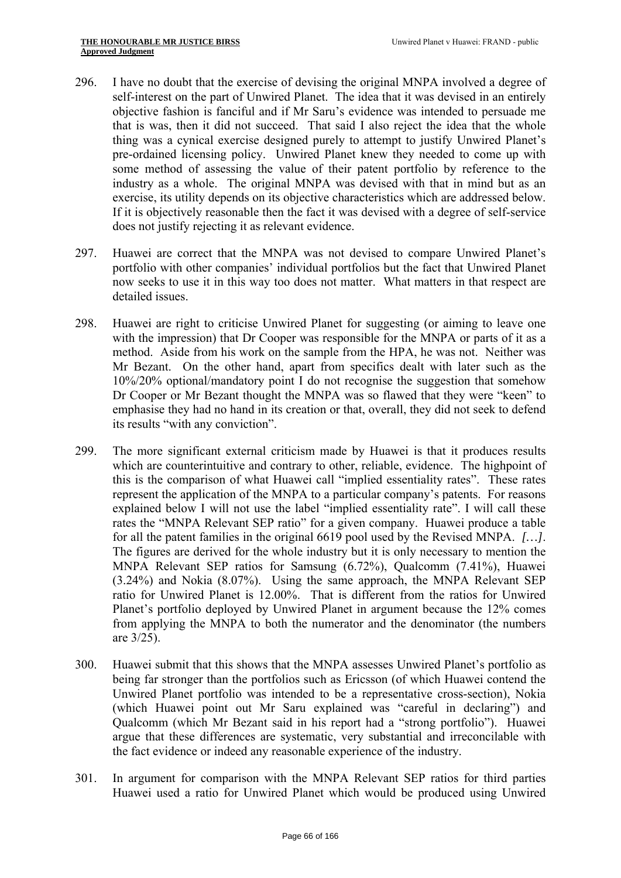- self-interest on the part of Unwired Planet. The idea that it was devised in an entirely 296. I have no doubt that the exercise of devising the original MNPA involved a degree of objective fashion is fanciful and if Mr Saru's evidence was intended to persuade me that is was, then it did not succeed. That said I also reject the idea that the whole thing was a cynical exercise designed purely to attempt to justify Unwired Planet's pre-ordained licensing policy. Unwired Planet knew they needed to come up with some method of assessing the value of their patent portfolio by reference to the industry as a whole. The original MNPA was devised with that in mind but as an exercise, its utility depends on its objective characteristics which are addressed below. If it is objectively reasonable then the fact it was devised with a degree of self-service does not justify rejecting it as relevant evidence.
- 297. Huawei are correct that the MNPA was not devised to compare Unwired Planet's portfolio with other companies' individual portfolios but the fact that Unwired Planet now seeks to use it in this way too does not matter. What matters in that respect are detailed issues.
- 298. Huawei are right to criticise Unwired Planet for suggesting (or aiming to leave one with the impression) that Dr Cooper was responsible for the MNPA or parts of it as a method. Aside from his work on the sample from the HPA, he was not. Neither was Mr Bezant. On the other hand, apart from specifics dealt with later such as the 10%/20% optional/mandatory point I do not recognise the suggestion that somehow Dr Cooper or Mr Bezant thought the MNPA was so flawed that they were "keen" to emphasise they had no hand in its creation or that, overall, they did not seek to defend its results "with any conviction".
- 299. The more significant external criticism made by Huawei is that it produces results which are counterintuitive and contrary to other, reliable, evidence. The highpoint of this is the comparison of what Huawei call "implied essentiality rates". These rates represent the application of the MNPA to a particular company's patents. For reasons explained below I will not use the label "implied essentiality rate". I will call these rates the "MNPA Relevant SEP ratio" for a given company. Huawei produce a table for all the patent families in the original 6619 pool used by the Revised MNPA. *[…]*. The figures are derived for the whole industry but it is only necessary to mention the MNPA Relevant SEP ratios for Samsung (6.72%), Qualcomm (7.41%), Huawei (3.24%) and Nokia (8.07%). Using the same approach, the MNPA Relevant SEP ratio for Unwired Planet is 12.00%. That is different from the ratios for Unwired Planet's portfolio deployed by Unwired Planet in argument because the 12% comes from applying the MNPA to both the numerator and the denominator (the numbers are 3/25).
- 300. Huawei submit that this shows that the MNPA assesses Unwired Planet's portfolio as being far stronger than the portfolios such as Ericsson (of which Huawei contend the Unwired Planet portfolio was intended to be a representative cross-section), Nokia (which Huawei point out Mr Saru explained was "careful in declaring") and Qualcomm (which Mr Bezant said in his report had a "strong portfolio"). Huawei argue that these differences are systematic, very substantial and irreconcilable with the fact evidence or indeed any reasonable experience of the industry.
- 301. In argument for comparison with the MNPA Relevant SEP ratios for third parties Huawei used a ratio for Unwired Planet which would be produced using Unwired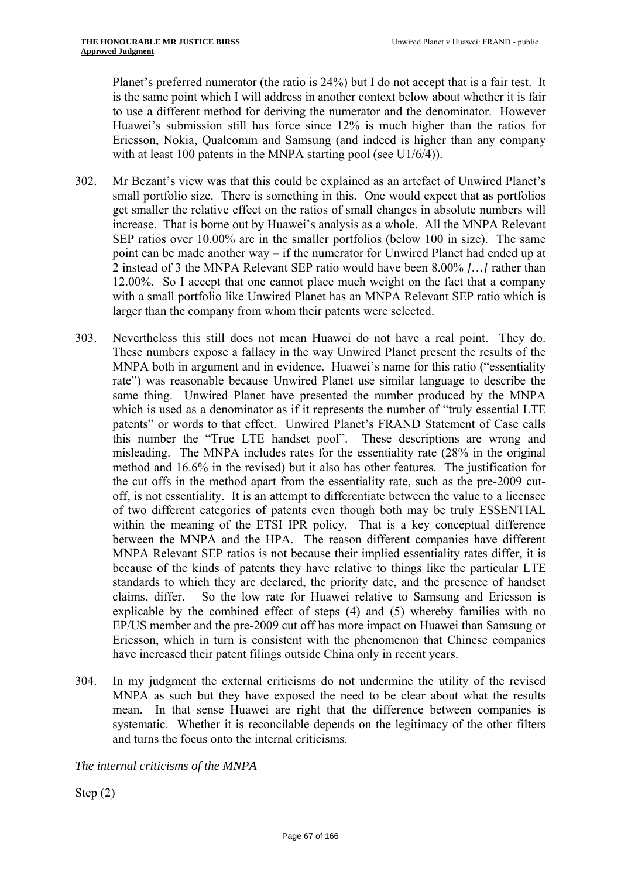Planet's preferred numerator (the ratio is 24%) but I do not accept that is a fair test. It is the same point which I will address in another context below about whether it is fair to use a different method for deriving the numerator and the denominator. However Huawei's submission still has force since 12% is much higher than the ratios for Ericsson, Nokia, Qualcomm and Samsung (and indeed is higher than any company with at least 100 patents in the MNPA starting pool (see U1/6/4)).

- 302. Mr Bezant's view was that this could be explained as an artefact of Unwired Planet's small portfolio size. There is something in this. One would expect that as portfolios get smaller the relative effect on the ratios of small changes in absolute numbers will increase. That is borne out by Huawei's analysis as a whole. All the MNPA Relevant SEP ratios over 10.00% are in the smaller portfolios (below 100 in size). The same point can be made another way – if the numerator for Unwired Planet had ended up at 2 instead of 3 the MNPA Relevant SEP ratio would have been 8.00% *[…]* rather than 12.00%. So I accept that one cannot place much weight on the fact that a company with a small portfolio like Unwired Planet has an MNPA Relevant SEP ratio which is larger than the company from whom their patents were selected.
- 303. Nevertheless this still does not mean Huawei do not have a real point. They do. These numbers expose a fallacy in the way Unwired Planet present the results of the MNPA both in argument and in evidence. Huawei's name for this ratio ("essentiality rate") was reasonable because Unwired Planet use similar language to describe the same thing. Unwired Planet have presented the number produced by the MNPA which is used as a denominator as if it represents the number of "truly essential LTE patents" or words to that effect. Unwired Planet's FRAND Statement of Case calls this number the "True LTE handset pool". These descriptions are wrong and misleading. The MNPA includes rates for the essentiality rate (28% in the original method and 16.6% in the revised) but it also has other features. The justification for the cut offs in the method apart from the essentiality rate, such as the pre-2009 cutoff, is not essentiality. It is an attempt to differentiate between the value to a licensee of two different categories of patents even though both may be truly ESSENTIAL within the meaning of the ETSI IPR policy. That is a key conceptual difference between the MNPA and the HPA. The reason different companies have different MNPA Relevant SEP ratios is not because their implied essentiality rates differ, it is because of the kinds of patents they have relative to things like the particular LTE standards to which they are declared, the priority date, and the presence of handset claims, differ. So the low rate for Huawei relative to Samsung and Ericsson is explicable by the combined effect of steps (4) and (5) whereby families with no EP/US member and the pre-2009 cut off has more impact on Huawei than Samsung or Ericsson, which in turn is consistent with the phenomenon that Chinese companies have increased their patent filings outside China only in recent years.
- 304. In my judgment the external criticisms do not undermine the utility of the revised MNPA as such but they have exposed the need to be clear about what the results mean. In that sense Huawei are right that the difference between companies is systematic. Whether it is reconcilable depends on the legitimacy of the other filters and turns the focus onto the internal criticisms.

*The internal criticisms of the MNPA* 

Step (2)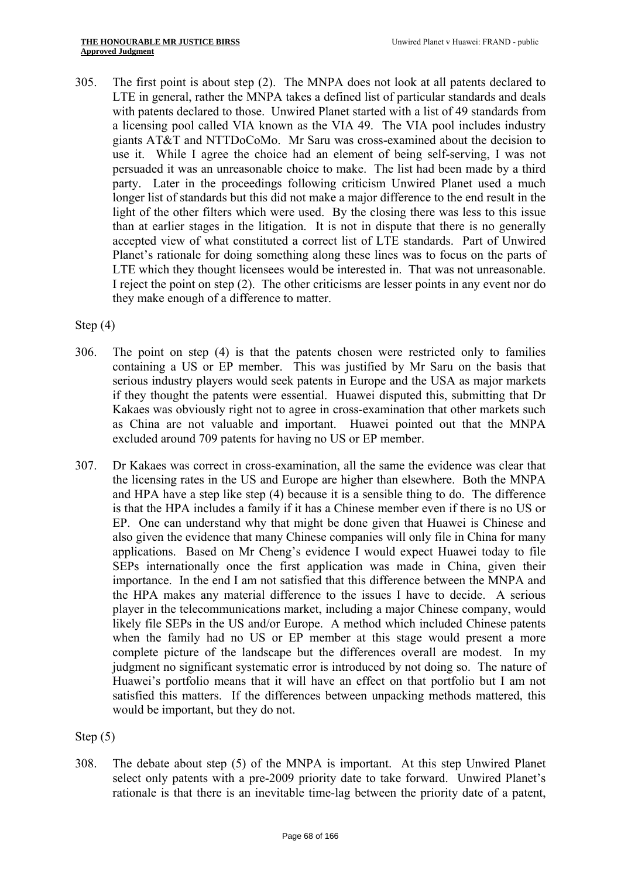305. The first point is about step (2). The MNPA does not look at all patents declared to LTE in general, rather the MNPA takes a defined list of particular standards and deals with patents declared to those. Unwired Planet started with a list of 49 standards from a licensing pool called VIA known as the VIA 49. The VIA pool includes industry giants AT&T and NTTDoCoMo. Mr Saru was cross-examined about the decision to use it. While I agree the choice had an element of being self-serving, I was not persuaded it was an unreasonable choice to make. The list had been made by a third party. Later in the proceedings following criticism Unwired Planet used a much longer list of standards but this did not make a major difference to the end result in the light of the other filters which were used. By the closing there was less to this issue than at earlier stages in the litigation. It is not in dispute that there is no generally accepted view of what constituted a correct list of LTE standards. Part of Unwired Planet's rationale for doing something along these lines was to focus on the parts of LTE which they thought licensees would be interested in. That was not unreasonable. I reject the point on step (2). The other criticisms are lesser points in any event nor do they make enough of a difference to matter.

Step (4)

- 306. The point on step (4) is that the patents chosen were restricted only to families containing a US or EP member. This was justified by Mr Saru on the basis that serious industry players would seek patents in Europe and the USA as major markets if they thought the patents were essential. Huawei disputed this, submitting that Dr Kakaes was obviously right not to agree in cross-examination that other markets such as China are not valuable and important. Huawei pointed out that the MNPA excluded around 709 patents for having no US or EP member.
- 307. Dr Kakaes was correct in cross-examination, all the same the evidence was clear that the licensing rates in the US and Europe are higher than elsewhere. Both the MNPA and HPA have a step like step (4) because it is a sensible thing to do. The difference is that the HPA includes a family if it has a Chinese member even if there is no US or EP. One can understand why that might be done given that Huawei is Chinese and also given the evidence that many Chinese companies will only file in China for many applications. Based on Mr Cheng's evidence I would expect Huawei today to file SEPs internationally once the first application was made in China, given their importance. In the end I am not satisfied that this difference between the MNPA and the HPA makes any material difference to the issues I have to decide. A serious player in the telecommunications market, including a major Chinese company, would likely file SEPs in the US and/or Europe. A method which included Chinese patents when the family had no US or EP member at this stage would present a more complete picture of the landscape but the differences overall are modest. In my judgment no significant systematic error is introduced by not doing so. The nature of Huawei's portfolio means that it will have an effect on that portfolio but I am not satisfied this matters. If the differences between unpacking methods mattered, this would be important, but they do not.

Step (5)

308. The debate about step (5) of the MNPA is important. At this step Unwired Planet select only patents with a pre-2009 priority date to take forward. Unwired Planet's rationale is that there is an inevitable time-lag between the priority date of a patent,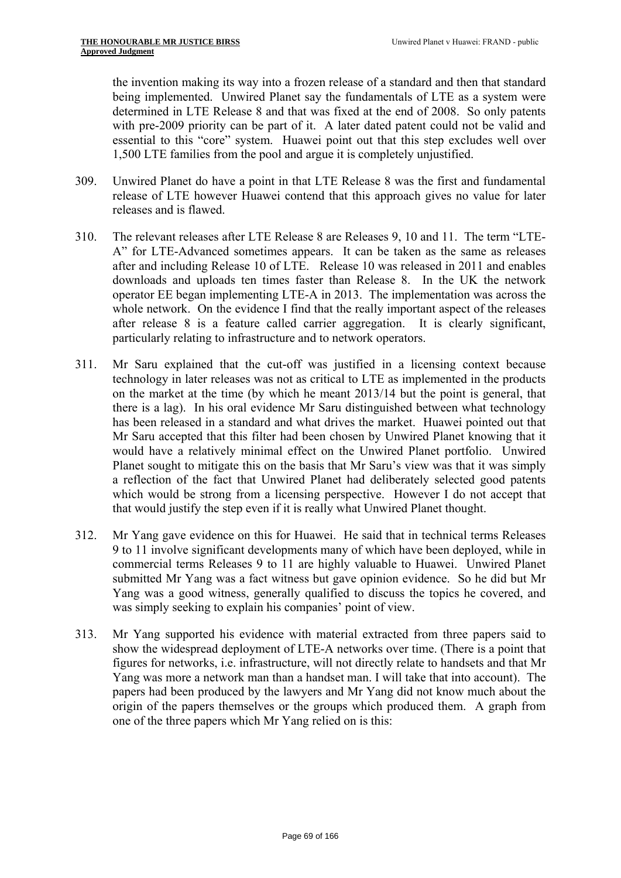the invention making its way into a frozen release of a standard and then that standard being implemented. Unwired Planet say the fundamentals of LTE as a system were determined in LTE Release 8 and that was fixed at the end of 2008. So only patents with pre-2009 priority can be part of it. A later dated patent could not be valid and essential to this "core" system. Huawei point out that this step excludes well over 1,500 LTE families from the pool and argue it is completely unjustified.

- 309. Unwired Planet do have a point in that LTE Release 8 was the first and fundamental release of LTE however Huawei contend that this approach gives no value for later releases and is flawed.
- 310. The relevant releases after LTE Release 8 are Releases 9, 10 and 11. The term "LTE-A" for LTE-Advanced sometimes appears. It can be taken as the same as releases after and including Release 10 of LTE. Release 10 was released in 2011 and enables downloads and uploads ten times faster than Release 8. In the UK the network operator EE began implementing LTE-A in 2013. The implementation was across the whole network. On the evidence I find that the really important aspect of the releases after release 8 is a feature called carrier aggregation. It is clearly significant, particularly relating to infrastructure and to network operators.
- 311. Mr Saru explained that the cut-off was justified in a licensing context because technology in later releases was not as critical to LTE as implemented in the products on the market at the time (by which he meant 2013/14 but the point is general, that there is a lag). In his oral evidence Mr Saru distinguished between what technology has been released in a standard and what drives the market. Huawei pointed out that Mr Saru accepted that this filter had been chosen by Unwired Planet knowing that it would have a relatively minimal effect on the Unwired Planet portfolio. Unwired Planet sought to mitigate this on the basis that Mr Saru's view was that it was simply a reflection of the fact that Unwired Planet had deliberately selected good patents which would be strong from a licensing perspective. However I do not accept that that would justify the step even if it is really what Unwired Planet thought.
- 312. Mr Yang gave evidence on this for Huawei. He said that in technical terms Releases 9 to 11 involve significant developments many of which have been deployed, while in commercial terms Releases 9 to 11 are highly valuable to Huawei. Unwired Planet submitted Mr Yang was a fact witness but gave opinion evidence. So he did but Mr Yang was a good witness, generally qualified to discuss the topics he covered, and was simply seeking to explain his companies' point of view.
- 313. Mr Yang supported his evidence with material extracted from three papers said to show the widespread deployment of LTE-A networks over time. (There is a point that figures for networks, i.e. infrastructure, will not directly relate to handsets and that Mr Yang was more a network man than a handset man. I will take that into account). The papers had been produced by the lawyers and Mr Yang did not know much about the origin of the papers themselves or the groups which produced them. A graph from one of the three papers which Mr Yang relied on is this: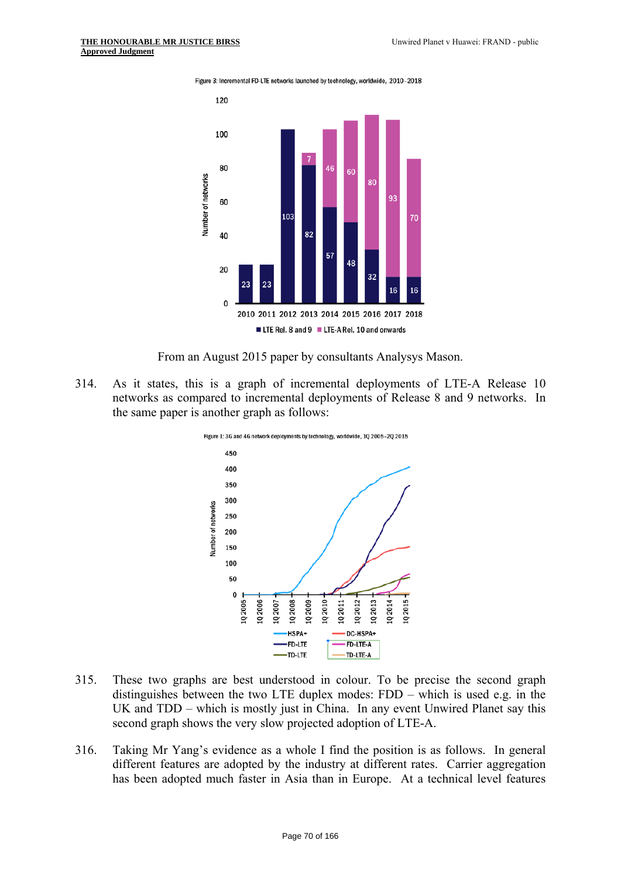Figure 3: Incremental FD-LTE networks launched by technology, worldwide, 2010-2018



From an August 2015 paper by consultants Analysys Mason.

314. As it states, this is a graph of incremental deployments of LTE-A Release 10 networks as compared to incremental deployments of Release 8 and 9 networks. In the same paper is another graph as follows:



- 315. These two graphs are best understood in colour. To be precise the second graph distinguishes between the two LTE duplex modes: FDD – which is used e.g. in the UK and TDD – which is mostly just in China. In any event Unwired Planet say this second graph shows the very slow projected adoption of LTE-A.
- 316. Taking Mr Yang's evidence as a whole I find the position is as follows. In general different features are adopted by the industry at different rates. Carrier aggregation has been adopted much faster in Asia than in Europe. At a technical level features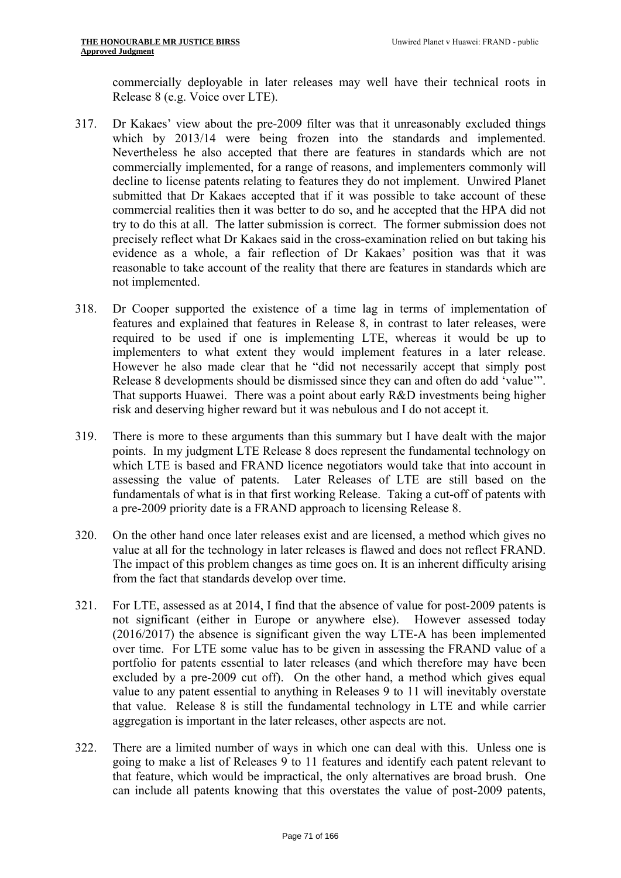commercially deployable in later releases may well have their technical roots in Release 8 (e.g. Voice over LTE).

- 317. Dr Kakaes' view about the pre-2009 filter was that it unreasonably excluded things which by 2013/14 were being frozen into the standards and implemented. Nevertheless he also accepted that there are features in standards which are not commercially implemented, for a range of reasons, and implementers commonly will decline to license patents relating to features they do not implement. Unwired Planet submitted that Dr Kakaes accepted that if it was possible to take account of these commercial realities then it was better to do so, and he accepted that the HPA did not try to do this at all. The latter submission is correct. The former submission does not precisely reflect what Dr Kakaes said in the cross-examination relied on but taking his evidence as a whole, a fair reflection of Dr Kakaes' position was that it was reasonable to take account of the reality that there are features in standards which are not implemented.
- 318. Dr Cooper supported the existence of a time lag in terms of implementation of features and explained that features in Release 8, in contrast to later releases, were required to be used if one is implementing LTE, whereas it would be up to implementers to what extent they would implement features in a later release. However he also made clear that he "did not necessarily accept that simply post Release 8 developments should be dismissed since they can and often do add 'value'". That supports Huawei. There was a point about early R&D investments being higher risk and deserving higher reward but it was nebulous and I do not accept it.
- 319. There is more to these arguments than this summary but I have dealt with the major points. In my judgment LTE Release 8 does represent the fundamental technology on which LTE is based and FRAND licence negotiators would take that into account in assessing the value of patents. Later Releases of LTE are still based on the fundamentals of what is in that first working Release. Taking a cut-off of patents with a pre-2009 priority date is a FRAND approach to licensing Release 8.
- 320. On the other hand once later releases exist and are licensed, a method which gives no value at all for the technology in later releases is flawed and does not reflect FRAND. The impact of this problem changes as time goes on. It is an inherent difficulty arising from the fact that standards develop over time.
- 321. For LTE, assessed as at 2014, I find that the absence of value for post-2009 patents is not significant (either in Europe or anywhere else). However assessed today (2016/2017) the absence is significant given the way LTE-A has been implemented over time. For LTE some value has to be given in assessing the FRAND value of a portfolio for patents essential to later releases (and which therefore may have been excluded by a pre-2009 cut off). On the other hand, a method which gives equal value to any patent essential to anything in Releases 9 to 11 will inevitably overstate that value. Release 8 is still the fundamental technology in LTE and while carrier aggregation is important in the later releases, other aspects are not.
- 322. There are a limited number of ways in which one can deal with this. Unless one is going to make a list of Releases 9 to 11 features and identify each patent relevant to that feature, which would be impractical, the only alternatives are broad brush. One can include all patents knowing that this overstates the value of post-2009 patents,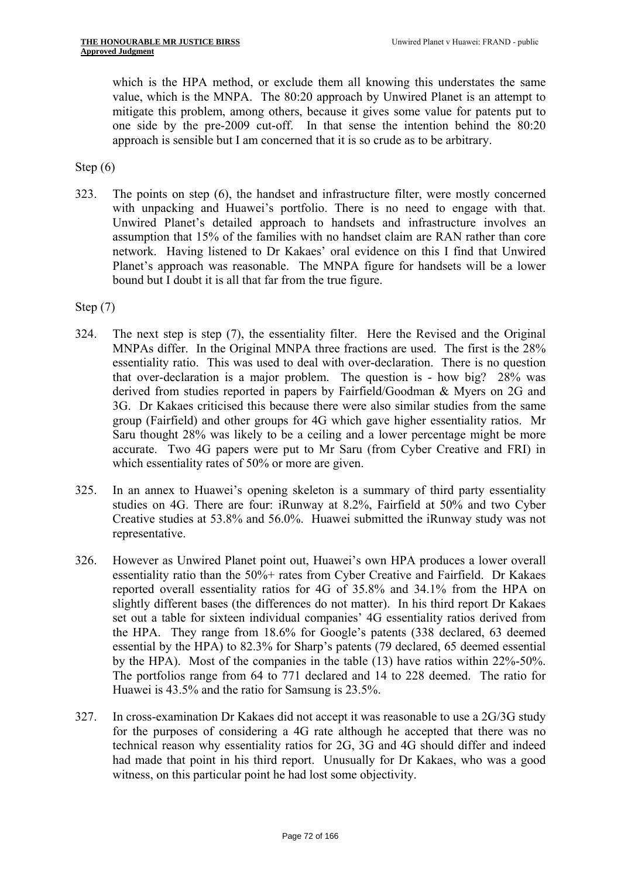which is the HPA method, or exclude them all knowing this understates the same value, which is the MNPA. The 80:20 approach by Unwired Planet is an attempt to mitigate this problem, among others, because it gives some value for patents put to one side by the pre-2009 cut-off. In that sense the intention behind the 80:20 approach is sensible but I am concerned that it is so crude as to be arbitrary.

Step (6)

 with unpacking and Huawei's portfolio. There is no need to engage with that. 323. The points on step (6), the handset and infrastructure filter, were mostly concerned Unwired Planet's detailed approach to handsets and infrastructure involves an assumption that 15% of the families with no handset claim are RAN rather than core network. Having listened to Dr Kakaes' oral evidence on this I find that Unwired Planet's approach was reasonable. The MNPA figure for handsets will be a lower bound but I doubt it is all that far from the true figure.

Step (7)

- 324. The next step is step (7), the essentiality filter. Here the Revised and the Original MNPAs differ. In the Original MNPA three fractions are used. The first is the 28% essentiality ratio. This was used to deal with over-declaration. There is no question that over-declaration is a major problem. The question is - how big? 28% was derived from studies reported in papers by Fairfield/Goodman & Myers on 2G and 3G. Dr Kakaes criticised this because there were also similar studies from the same group (Fairfield) and other groups for 4G which gave higher essentiality ratios. Mr Saru thought 28% was likely to be a ceiling and a lower percentage might be more accurate. Two 4G papers were put to Mr Saru (from Cyber Creative and FRI) in which essentiality rates of 50% or more are given.
- 325. In an annex to Huawei's opening skeleton is a summary of third party essentiality studies on 4G. There are four: iRunway at 8.2%, Fairfield at 50% and two Cyber Creative studies at 53.8% and 56.0%. Huawei submitted the iRunway study was not representative.
- 326. However as Unwired Planet point out, Huawei's own HPA produces a lower overall essentiality ratio than the 50%+ rates from Cyber Creative and Fairfield. Dr Kakaes reported overall essentiality ratios for 4G of 35.8% and 34.1% from the HPA on slightly different bases (the differences do not matter). In his third report Dr Kakaes set out a table for sixteen individual companies' 4G essentiality ratios derived from the HPA. They range from 18.6% for Google's patents (338 declared, 63 deemed essential by the HPA) to 82.3% for Sharp's patents (79 declared, 65 deemed essential by the HPA). Most of the companies in the table (13) have ratios within 22%-50%. The portfolios range from 64 to 771 declared and 14 to 228 deemed. The ratio for Huawei is 43.5% and the ratio for Samsung is 23.5%.
- 327. In cross-examination Dr Kakaes did not accept it was reasonable to use a  $2G/3G$  study for the purposes of considering a 4G rate although he accepted that there was no technical reason why essentiality ratios for 2G, 3G and 4G should differ and indeed had made that point in his third report. Unusually for Dr Kakaes, who was a good witness, on this particular point he had lost some objectivity.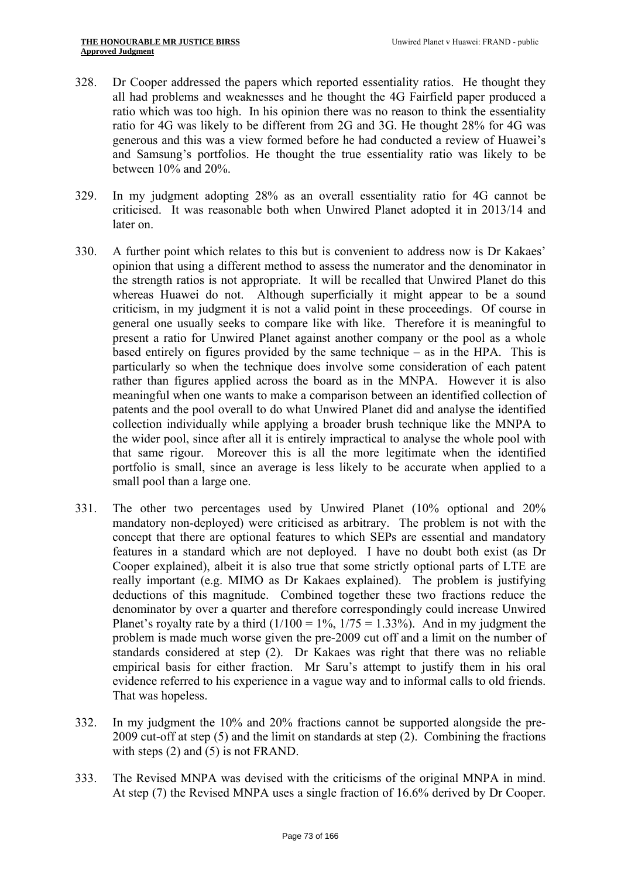- 328. Dr Cooper addressed the papers which reported essentiality ratios. He thought they all had problems and weaknesses and he thought the 4G Fairfield paper produced a ratio which was too high. In his opinion there was no reason to think the essentiality ratio for 4G was likely to be different from 2G and 3G. He thought 28% for 4G was generous and this was a view formed before he had conducted a review of Huawei's and Samsung's portfolios. He thought the true essentiality ratio was likely to be between 10% and 20%.
- 329. In my judgment adopting 28% as an overall essentiality ratio for 4G cannot be criticised. It was reasonable both when Unwired Planet adopted it in 2013/14 and later on.
- 330. A further point which relates to this but is convenient to address now is Dr Kakaes' opinion that using a different method to assess the numerator and the denominator in the strength ratios is not appropriate. It will be recalled that Unwired Planet do this whereas Huawei do not. Although superficially it might appear to be a sound criticism, in my judgment it is not a valid point in these proceedings. Of course in general one usually seeks to compare like with like. Therefore it is meaningful to present a ratio for Unwired Planet against another company or the pool as a whole based entirely on figures provided by the same technique – as in the HPA. This is particularly so when the technique does involve some consideration of each patent rather than figures applied across the board as in the MNPA. However it is also meaningful when one wants to make a comparison between an identified collection of patents and the pool overall to do what Unwired Planet did and analyse the identified collection individually while applying a broader brush technique like the MNPA to the wider pool, since after all it is entirely impractical to analyse the whole pool with that same rigour. Moreover this is all the more legitimate when the identified portfolio is small, since an average is less likely to be accurate when applied to a small pool than a large one.
- 331. The other two percentages used by Unwired Planet (10% optional and 20% mandatory non-deployed) were criticised as arbitrary. The problem is not with the concept that there are optional features to which SEPs are essential and mandatory features in a standard which are not deployed. I have no doubt both exist (as Dr Cooper explained), albeit it is also true that some strictly optional parts of LTE are really important (e.g. MIMO as Dr Kakaes explained). The problem is justifying deductions of this magnitude. Combined together these two fractions reduce the denominator by over a quarter and therefore correspondingly could increase Unwired Planet's royalty rate by a third  $(1/100 = 1\%$ ,  $1/75 = 1.33\%$ ). And in my judgment the problem is made much worse given the pre-2009 cut off and a limit on the number of standards considered at step (2). Dr Kakaes was right that there was no reliable empirical basis for either fraction. Mr Saru's attempt to justify them in his oral evidence referred to his experience in a vague way and to informal calls to old friends. That was hopeless.
- 332. In my judgment the 10% and 20% fractions cannot be supported alongside the pre-2009 cut-off at step (5) and the limit on standards at step (2). Combining the fractions with steps (2) and (5) is not FRAND.
- 333. The Revised MNPA was devised with the criticisms of the original MNPA in mind. At step (7) the Revised MNPA uses a single fraction of 16.6% derived by Dr Cooper.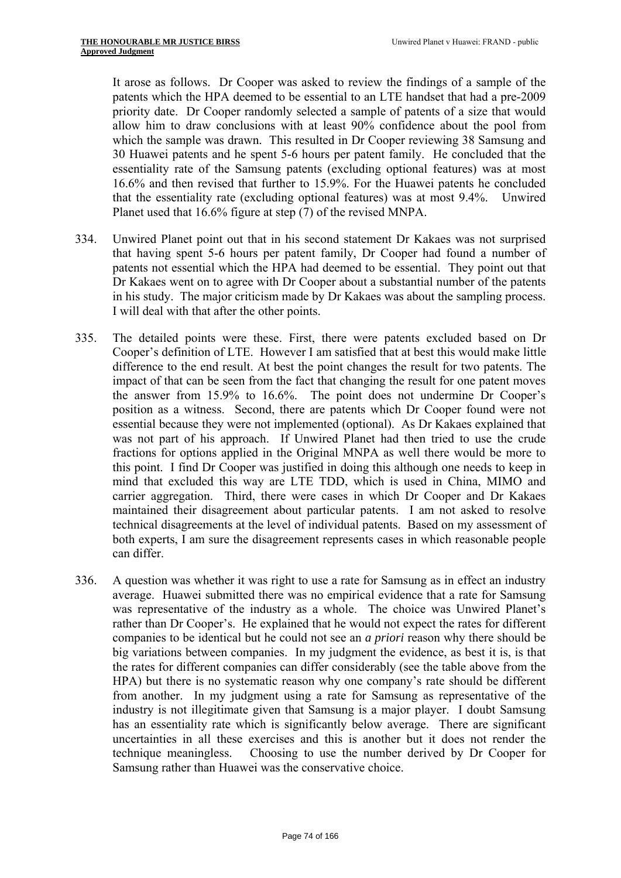It arose as follows. Dr Cooper was asked to review the findings of a sample of the patents which the HPA deemed to be essential to an LTE handset that had a pre-2009 priority date. Dr Cooper randomly selected a sample of patents of a size that would allow him to draw conclusions with at least 90% confidence about the pool from which the sample was drawn. This resulted in Dr Cooper reviewing 38 Samsung and 30 Huawei patents and he spent 5-6 hours per patent family. He concluded that the essentiality rate of the Samsung patents (excluding optional features) was at most 16.6% and then revised that further to 15.9%. For the Huawei patents he concluded that the essentiality rate (excluding optional features) was at most 9.4%. Unwired Planet used that 16.6% figure at step (7) of the revised MNPA.

- 334. Unwired Planet point out that in his second statement Dr Kakaes was not surprised that having spent 5-6 hours per patent family, Dr Cooper had found a number of patents not essential which the HPA had deemed to be essential. They point out that Dr Kakaes went on to agree with Dr Cooper about a substantial number of the patents in his study. The major criticism made by Dr Kakaes was about the sampling process. I will deal with that after the other points.
- 335. The detailed points were these. First, there were patents excluded based on Dr Cooper's definition of LTE. However I am satisfied that at best this would make little difference to the end result. At best the point changes the result for two patents. The impact of that can be seen from the fact that changing the result for one patent moves the answer from 15.9% to 16.6%. The point does not undermine Dr Cooper's position as a witness. Second, there are patents which Dr Cooper found were not essential because they were not implemented (optional). As Dr Kakaes explained that was not part of his approach. If Unwired Planet had then tried to use the crude fractions for options applied in the Original MNPA as well there would be more to this point. I find Dr Cooper was justified in doing this although one needs to keep in mind that excluded this way are LTE TDD, which is used in China, MIMO and carrier aggregation. Third, there were cases in which Dr Cooper and Dr Kakaes maintained their disagreement about particular patents. I am not asked to resolve technical disagreements at the level of individual patents. Based on my assessment of both experts, I am sure the disagreement represents cases in which reasonable people can differ.
- 336. A question was whether it was right to use a rate for Samsung as in effect an industry average. Huawei submitted there was no empirical evidence that a rate for Samsung was representative of the industry as a whole. The choice was Unwired Planet's rather than Dr Cooper's. He explained that he would not expect the rates for different companies to be identical but he could not see an *a priori* reason why there should be big variations between companies. In my judgment the evidence, as best it is, is that the rates for different companies can differ considerably (see the table above from the HPA) but there is no systematic reason why one company's rate should be different from another. In my judgment using a rate for Samsung as representative of the industry is not illegitimate given that Samsung is a major player. I doubt Samsung has an essentiality rate which is significantly below average. There are significant uncertainties in all these exercises and this is another but it does not render the technique meaningless. Choosing to use the number derived by Dr Cooper for Samsung rather than Huawei was the conservative choice.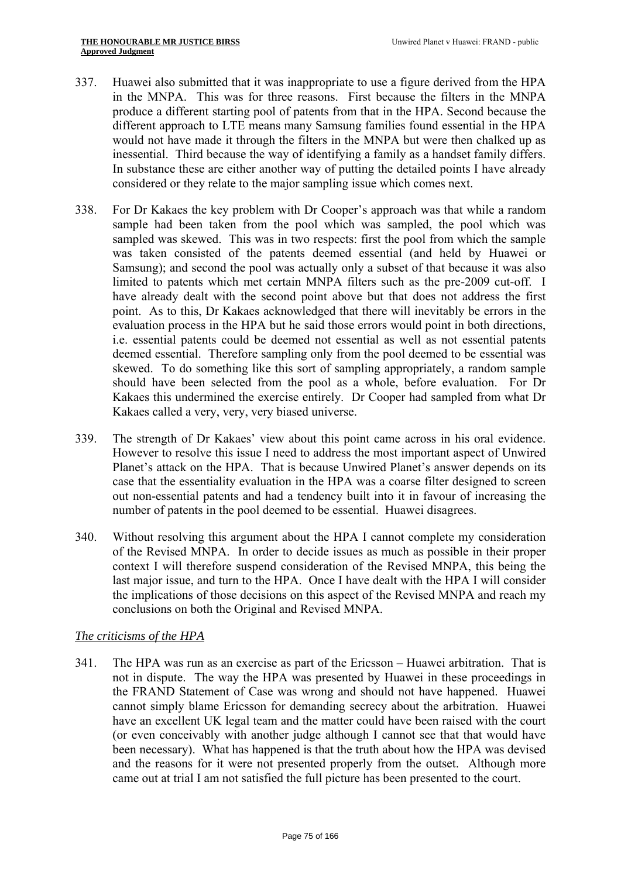- 337. Huawei also submitted that it was inappropriate to use a figure derived from the HPA in the MNPA. This was for three reasons. First because the filters in the MNPA produce a different starting pool of patents from that in the HPA. Second because the different approach to LTE means many Samsung families found essential in the HPA would not have made it through the filters in the MNPA but were then chalked up as inessential. Third because the way of identifying a family as a handset family differs. In substance these are either another way of putting the detailed points I have already considered or they relate to the major sampling issue which comes next.
- 338. For Dr Kakaes the key problem with Dr Cooper's approach was that while a random sample had been taken from the pool which was sampled, the pool which was sampled was skewed. This was in two respects: first the pool from which the sample was taken consisted of the patents deemed essential (and held by Huawei or Samsung); and second the pool was actually only a subset of that because it was also limited to patents which met certain MNPA filters such as the pre-2009 cut-off. I have already dealt with the second point above but that does not address the first point. As to this, Dr Kakaes acknowledged that there will inevitably be errors in the evaluation process in the HPA but he said those errors would point in both directions, i.e. essential patents could be deemed not essential as well as not essential patents deemed essential. Therefore sampling only from the pool deemed to be essential was skewed. To do something like this sort of sampling appropriately, a random sample should have been selected from the pool as a whole, before evaluation. For Dr Kakaes this undermined the exercise entirely. Dr Cooper had sampled from what Dr Kakaes called a very, very, very biased universe.
- 339. The strength of Dr Kakaes' view about this point came across in his oral evidence. However to resolve this issue I need to address the most important aspect of Unwired Planet's attack on the HPA. That is because Unwired Planet's answer depends on its case that the essentiality evaluation in the HPA was a coarse filter designed to screen out non-essential patents and had a tendency built into it in favour of increasing the number of patents in the pool deemed to be essential. Huawei disagrees.
- 340. Without resolving this argument about the HPA I cannot complete my consideration of the Revised MNPA. In order to decide issues as much as possible in their proper context I will therefore suspend consideration of the Revised MNPA, this being the last major issue, and turn to the HPA. Once I have dealt with the HPA I will consider the implications of those decisions on this aspect of the Revised MNPA and reach my conclusions on both the Original and Revised MNPA.

# *The criticisms of the HPA*

341. The HPA was run as an exercise as part of the Ericsson – Huawei arbitration. That is not in dispute. The way the HPA was presented by Huawei in these proceedings in the FRAND Statement of Case was wrong and should not have happened. Huawei cannot simply blame Ericsson for demanding secrecy about the arbitration. Huawei have an excellent UK legal team and the matter could have been raised with the court (or even conceivably with another judge although I cannot see that that would have been necessary). What has happened is that the truth about how the HPA was devised and the reasons for it were not presented properly from the outset. Although more came out at trial I am not satisfied the full picture has been presented to the court.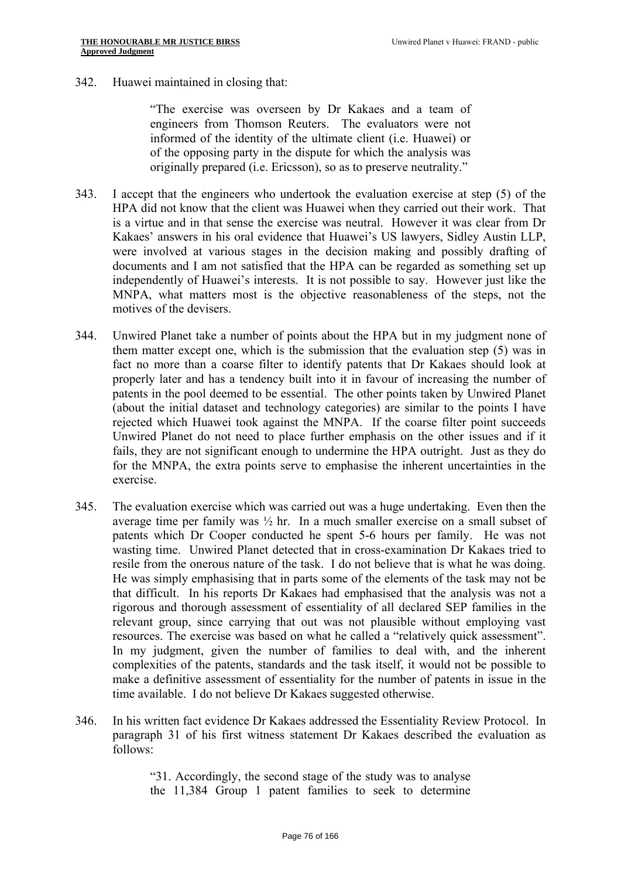342. Huawei maintained in closing that:

"The exercise was overseen by Dr Kakaes and a team of engineers from Thomson Reuters. The evaluators were not informed of the identity of the ultimate client (i.e. Huawei) or of the opposing party in the dispute for which the analysis was originally prepared (i.e. Ericsson), so as to preserve neutrality."

- 343. I accept that the engineers who undertook the evaluation exercise at step (5) of the HPA did not know that the client was Huawei when they carried out their work. That is a virtue and in that sense the exercise was neutral. However it was clear from Dr Kakaes' answers in his oral evidence that Huawei's US lawyers, Sidley Austin LLP, were involved at various stages in the decision making and possibly drafting of documents and I am not satisfied that the HPA can be regarded as something set up independently of Huawei's interests. It is not possible to say. However just like the MNPA, what matters most is the objective reasonableness of the steps, not the motives of the devisers.
- 344. Unwired Planet take a number of points about the HPA but in my judgment none of them matter except one, which is the submission that the evaluation step (5) was in fact no more than a coarse filter to identify patents that Dr Kakaes should look at properly later and has a tendency built into it in favour of increasing the number of patents in the pool deemed to be essential. The other points taken by Unwired Planet (about the initial dataset and technology categories) are similar to the points I have rejected which Huawei took against the MNPA. If the coarse filter point succeeds Unwired Planet do not need to place further emphasis on the other issues and if it fails, they are not significant enough to undermine the HPA outright. Just as they do for the MNPA, the extra points serve to emphasise the inherent uncertainties in the exercise.
- resources. The exercise was based on what he called a "relatively quick assessment". 345. The evaluation exercise which was carried out was a huge undertaking. Even then the average time per family was ½ hr. In a much smaller exercise on a small subset of patents which Dr Cooper conducted he spent 5-6 hours per family. He was not wasting time. Unwired Planet detected that in cross-examination Dr Kakaes tried to resile from the onerous nature of the task. I do not believe that is what he was doing. He was simply emphasising that in parts some of the elements of the task may not be that difficult. In his reports Dr Kakaes had emphasised that the analysis was not a rigorous and thorough assessment of essentiality of all declared SEP families in the relevant group, since carrying that out was not plausible without employing vast In my judgment, given the number of families to deal with, and the inherent complexities of the patents, standards and the task itself, it would not be possible to make a definitive assessment of essentiality for the number of patents in issue in the time available. I do not believe Dr Kakaes suggested otherwise.
- 346. In his written fact evidence Dr Kakaes addressed the Essentiality Review Protocol. In paragraph 31 of his first witness statement Dr Kakaes described the evaluation as follows:

"31. Accordingly, the second stage of the study was to analyse the 11,384 Group 1 patent families to seek to determine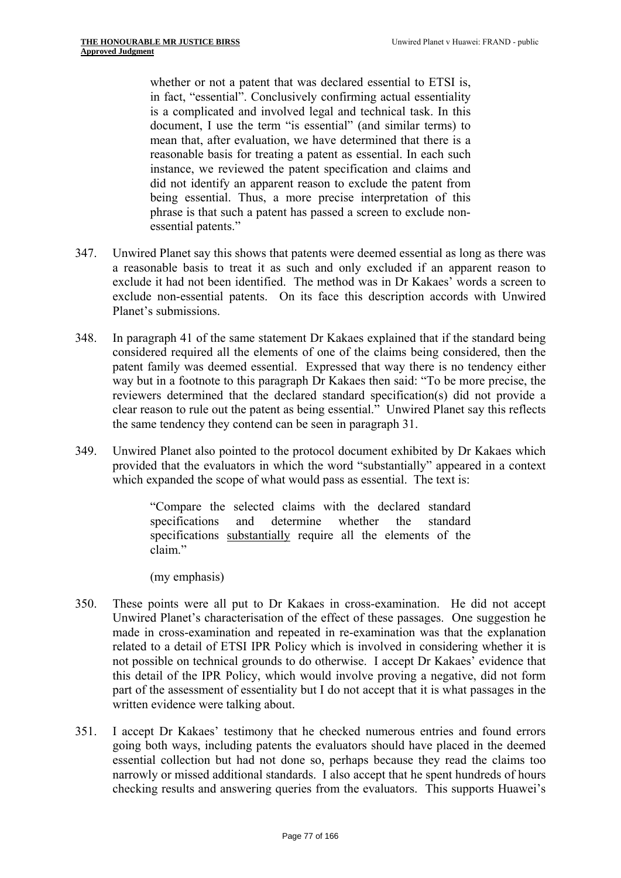whether or not a patent that was declared essential to ETSI is, in fact, "essential". Conclusively confirming actual essentiality is a complicated and involved legal and technical task. In this document, I use the term "is essential" (and similar terms) to mean that, after evaluation, we have determined that there is a reasonable basis for treating a patent as essential. In each such instance, we reviewed the patent specification and claims and did not identify an apparent reason to exclude the patent from being essential. Thus, a more precise interpretation of this phrase is that such a patent has passed a screen to exclude nonessential patents."

- 347. Unwired Planet say this shows that patents were deemed essential as long as there was a reasonable basis to treat it as such and only excluded if an apparent reason to exclude it had not been identified. The method was in Dr Kakaes' words a screen to exclude non-essential patents. On its face this description accords with Unwired Planet's submissions.
- 348. In paragraph 41 of the same statement Dr Kakaes explained that if the standard being considered required all the elements of one of the claims being considered, then the patent family was deemed essential. Expressed that way there is no tendency either way but in a footnote to this paragraph Dr Kakaes then said: "To be more precise, the reviewers determined that the declared standard specification(s) did not provide a clear reason to rule out the patent as being essential." Unwired Planet say this reflects the same tendency they contend can be seen in paragraph 31.
- 349. Unwired Planet also pointed to the protocol document exhibited by Dr Kakaes which provided that the evaluators in which the word "substantially" appeared in a context which expanded the scope of what would pass as essential. The text is:

"Compare the selected claims with the declared standard specifications and determine whether the standard specifications substantially require all the elements of the claim"

(my emphasis)

- 350. These points were all put to Dr Kakaes in cross-examination. He did not accept Unwired Planet's characterisation of the effect of these passages. One suggestion he made in cross-examination and repeated in re-examination was that the explanation related to a detail of ETSI IPR Policy which is involved in considering whether it is not possible on technical grounds to do otherwise. I accept Dr Kakaes' evidence that this detail of the IPR Policy, which would involve proving a negative, did not form part of the assessment of essentiality but I do not accept that it is what passages in the written evidence were talking about.
- 351. I accept Dr Kakaes' testimony that he checked numerous entries and found errors going both ways, including patents the evaluators should have placed in the deemed essential collection but had not done so, perhaps because they read the claims too narrowly or missed additional standards. I also accept that he spent hundreds of hours checking results and answering queries from the evaluators. This supports Huawei's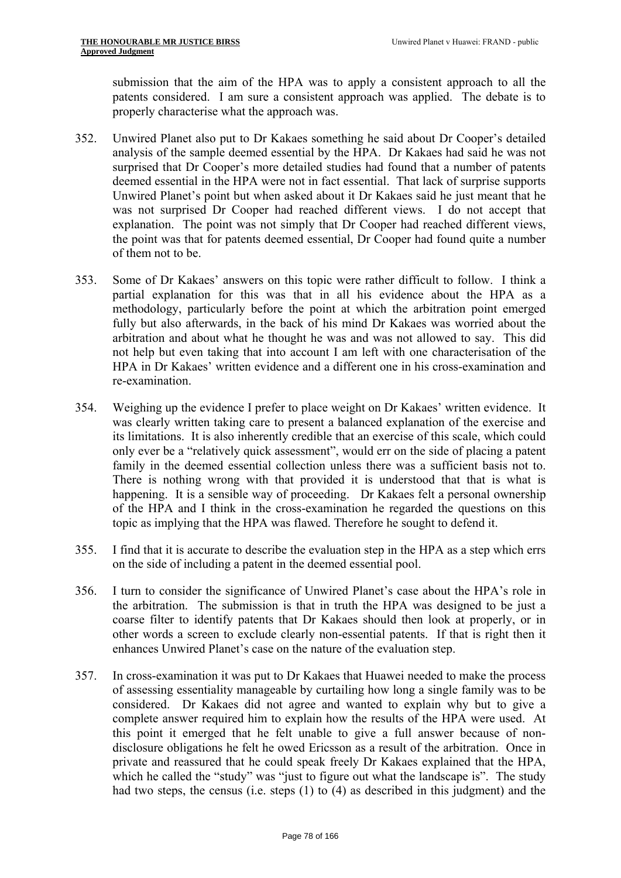submission that the aim of the HPA was to apply a consistent approach to all the patents considered. I am sure a consistent approach was applied. The debate is to properly characterise what the approach was.

- 352. Unwired Planet also put to Dr Kakaes something he said about Dr Cooper's detailed analysis of the sample deemed essential by the HPA. Dr Kakaes had said he was not surprised that Dr Cooper's more detailed studies had found that a number of patents deemed essential in the HPA were not in fact essential. That lack of surprise supports Unwired Planet's point but when asked about it Dr Kakaes said he just meant that he was not surprised Dr Cooper had reached different views. I do not accept that explanation. The point was not simply that Dr Cooper had reached different views, the point was that for patents deemed essential, Dr Cooper had found quite a number of them not to be.
- 353. Some of Dr Kakaes' answers on this topic were rather difficult to follow. I think a partial explanation for this was that in all his evidence about the HPA as a methodology, particularly before the point at which the arbitration point emerged fully but also afterwards, in the back of his mind Dr Kakaes was worried about the arbitration and about what he thought he was and was not allowed to say. This did not help but even taking that into account I am left with one characterisation of the HPA in Dr Kakaes' written evidence and a different one in his cross-examination and re-examination.
- family in the deemed essential collection unless there was a sufficient basis not to. 354. Weighing up the evidence I prefer to place weight on Dr Kakaes' written evidence. It was clearly written taking care to present a balanced explanation of the exercise and its limitations. It is also inherently credible that an exercise of this scale, which could only ever be a "relatively quick assessment", would err on the side of placing a patent There is nothing wrong with that provided it is understood that that is what is happening. It is a sensible way of proceeding. Dr Kakaes felt a personal ownership of the HPA and I think in the cross-examination he regarded the questions on this topic as implying that the HPA was flawed. Therefore he sought to defend it.
- 355. I find that it is accurate to describe the evaluation step in the HPA as a step which errs on the side of including a patent in the deemed essential pool.
- 356. I turn to consider the significance of Unwired Planet's case about the HPA's role in the arbitration. The submission is that in truth the HPA was designed to be just a coarse filter to identify patents that Dr Kakaes should then look at properly, or in other words a screen to exclude clearly non-essential patents. If that is right then it enhances Unwired Planet's case on the nature of the evaluation step.
- 357. In cross-examination it was put to Dr Kakaes that Huawei needed to make the process of assessing essentiality manageable by curtailing how long a single family was to be considered. Dr Kakaes did not agree and wanted to explain why but to give a complete answer required him to explain how the results of the HPA were used. At this point it emerged that he felt unable to give a full answer because of nondisclosure obligations he felt he owed Ericsson as a result of the arbitration. Once in private and reassured that he could speak freely Dr Kakaes explained that the HPA, which he called the "study" was "just to figure out what the landscape is". The study had two steps, the census (i.e. steps (1) to (4) as described in this judgment) and the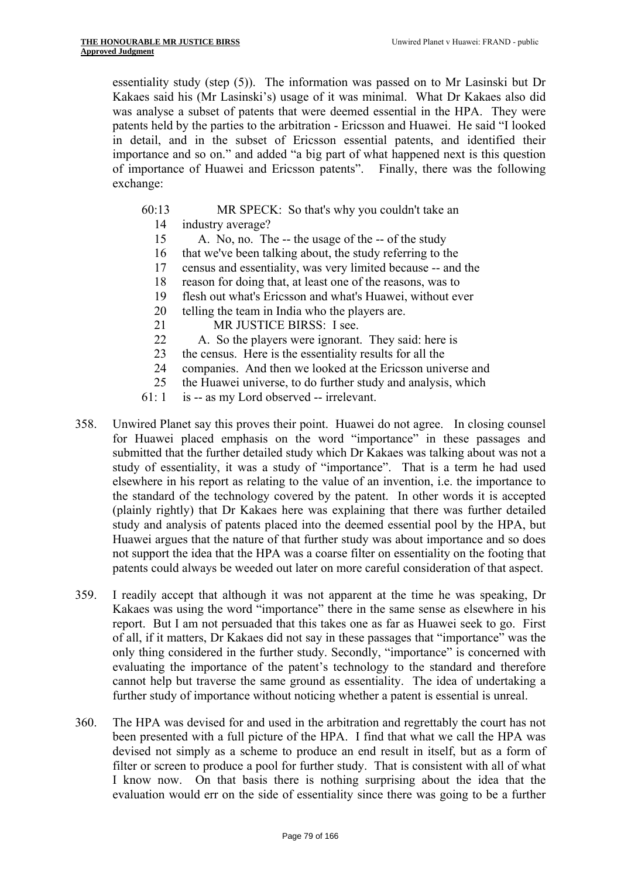essentiality study (step (5)). The information was passed on to Mr Lasinski but Dr Kakaes said his (Mr Lasinski's) usage of it was minimal. What Dr Kakaes also did was analyse a subset of patents that were deemed essential in the HPA. They were patents held by the parties to the arbitration - Ericsson and Huawei. He said "I looked in detail, and in the subset of Ericsson essential patents, and identified their importance and so on." and added "a big part of what happened next is this question of importance of Huawei and Ericsson patents". Finally, there was the following exchange:

- 60:13 MR SPECK: So that's why you couldn't take an 14 industry average?
	- 15 A. No, no. The -- the usage of the -- of the study
	- 16 that we've been talking about, the study referring to the
	- 17 census and essentiality, was very limited because -- and the
	- 18 reason for doing that, at least one of the reasons, was to
	- 19 flesh out what's Ericsson and what's Huawei, without ever
	- 20 telling the team in India who the players are.
	- 21 MR JUSTICE BIRSS: I see.
	- 22 A. So the players were ignorant. They said: here is
	- 23 the census. Here is the essentiality results for all the
	- 24 companies. And then we looked at the Ericsson universe and
	- 25 the Huawei universe, to do further study and analysis, which
- 61: 1 is -- as my Lord observed -- irrelevant.
- 358. Unwired Planet say this proves their point. Huawei do not agree. In closing counsel for Huawei placed emphasis on the word "importance" in these passages and submitted that the further detailed study which Dr Kakaes was talking about was not a study of essentiality, it was a study of "importance". That is a term he had used elsewhere in his report as relating to the value of an invention, i.e. the importance to the standard of the technology covered by the patent. In other words it is accepted (plainly rightly) that Dr Kakaes here was explaining that there was further detailed study and analysis of patents placed into the deemed essential pool by the HPA, but Huawei argues that the nature of that further study was about importance and so does not support the idea that the HPA was a coarse filter on essentiality on the footing that patents could always be weeded out later on more careful consideration of that aspect.
- 359. I readily accept that although it was not apparent at the time he was speaking, Dr Kakaes was using the word "importance" there in the same sense as elsewhere in his report. But I am not persuaded that this takes one as far as Huawei seek to go. First of all, if it matters, Dr Kakaes did not say in these passages that "importance" was the only thing considered in the further study. Secondly, "importance" is concerned with evaluating the importance of the patent's technology to the standard and therefore cannot help but traverse the same ground as essentiality. The idea of undertaking a further study of importance without noticing whether a patent is essential is unreal.
- 360. The HPA was devised for and used in the arbitration and regrettably the court has not been presented with a full picture of the HPA. I find that what we call the HPA was devised not simply as a scheme to produce an end result in itself, but as a form of filter or screen to produce a pool for further study. That is consistent with all of what I know now. On that basis there is nothing surprising about the idea that the evaluation would err on the side of essentiality since there was going to be a further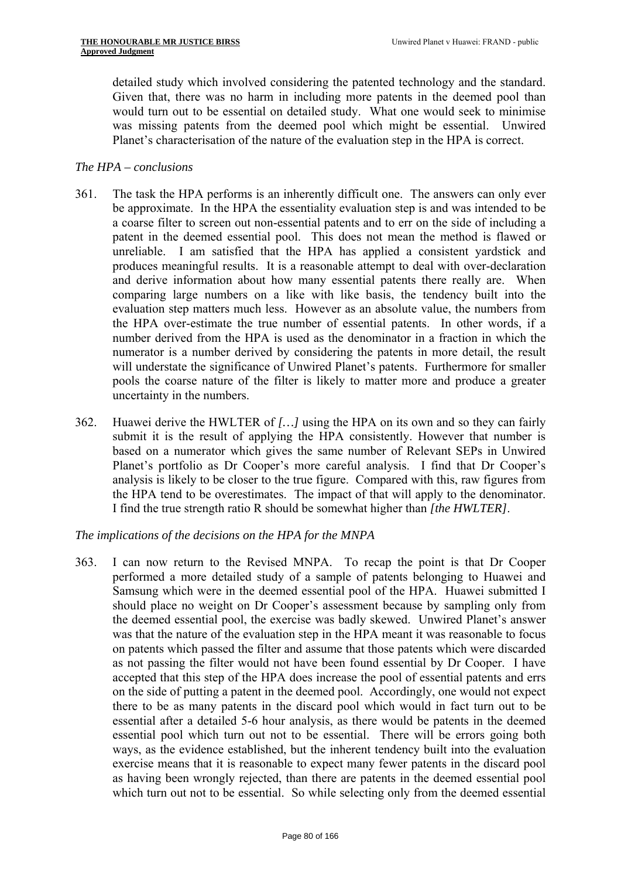detailed study which involved considering the patented technology and the standard. Given that, there was no harm in including more patents in the deemed pool than would turn out to be essential on detailed study. What one would seek to minimise was missing patents from the deemed pool which might be essential. Unwired Planet's characterisation of the nature of the evaluation step in the HPA is correct.

#### *The HPA – conclusions*

- 361. The task the HPA performs is an inherently difficult one. The answers can only ever be approximate. In the HPA the essentiality evaluation step is and was intended to be a coarse filter to screen out non-essential patents and to err on the side of including a patent in the deemed essential pool. This does not mean the method is flawed or unreliable. I am satisfied that the HPA has applied a consistent yardstick and produces meaningful results. It is a reasonable attempt to deal with over-declaration and derive information about how many essential patents there really are. When comparing large numbers on a like with like basis, the tendency built into the evaluation step matters much less. However as an absolute value, the numbers from the HPA over-estimate the true number of essential patents. In other words, if a number derived from the HPA is used as the denominator in a fraction in which the numerator is a number derived by considering the patents in more detail, the result will understate the significance of Unwired Planet's patents. Furthermore for smaller pools the coarse nature of the filter is likely to matter more and produce a greater uncertainty in the numbers.
- 362. Huawei derive the HWLTER of *[…]* using the HPA on its own and so they can fairly submit it is the result of applying the HPA consistently. However that number is based on a numerator which gives the same number of Relevant SEPs in Unwired Planet's portfolio as Dr Cooper's more careful analysis. I find that Dr Cooper's analysis is likely to be closer to the true figure. Compared with this, raw figures from the HPA tend to be overestimates. The impact of that will apply to the denominator. I find the true strength ratio R should be somewhat higher than *[the HWLTER]*.

#### *The implications of the decisions on the HPA for the MNPA*

363. I can now return to the Revised MNPA. To recap the point is that Dr Cooper performed a more detailed study of a sample of patents belonging to Huawei and Samsung which were in the deemed essential pool of the HPA. Huawei submitted I should place no weight on Dr Cooper's assessment because by sampling only from the deemed essential pool, the exercise was badly skewed. Unwired Planet's answer was that the nature of the evaluation step in the HPA meant it was reasonable to focus on patents which passed the filter and assume that those patents which were discarded as not passing the filter would not have been found essential by Dr Cooper. I have accepted that this step of the HPA does increase the pool of essential patents and errs on the side of putting a patent in the deemed pool. Accordingly, one would not expect there to be as many patents in the discard pool which would in fact turn out to be essential after a detailed 5-6 hour analysis, as there would be patents in the deemed essential pool which turn out not to be essential. There will be errors going both ways, as the evidence established, but the inherent tendency built into the evaluation exercise means that it is reasonable to expect many fewer patents in the discard pool as having been wrongly rejected, than there are patents in the deemed essential pool which turn out not to be essential. So while selecting only from the deemed essential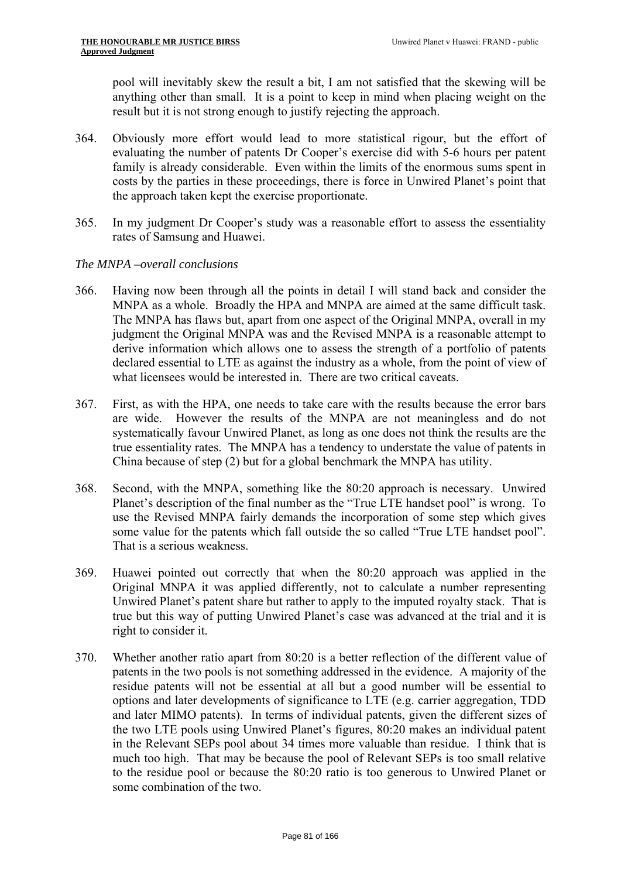pool will inevitably skew the result a bit, I am not satisfied that the skewing will be anything other than small. It is a point to keep in mind when placing weight on the result but it is not strong enough to justify rejecting the approach.

- 364. Obviously more effort would lead to more statistical rigour, but the effort of evaluating the number of patents Dr Cooper's exercise did with 5-6 hours per patent family is already considerable. Even within the limits of the enormous sums spent in costs by the parties in these proceedings, there is force in Unwired Planet's point that the approach taken kept the exercise proportionate.
- 365. In my judgment Dr Cooper's study was a reasonable effort to assess the essentiality rates of Samsung and Huawei.

#### *The MNPA –overall conclusions*

- 366. Having now been through all the points in detail I will stand back and consider the MNPA as a whole. Broadly the HPA and MNPA are aimed at the same difficult task. The MNPA has flaws but, apart from one aspect of the Original MNPA, overall in my judgment the Original MNPA was and the Revised MNPA is a reasonable attempt to derive information which allows one to assess the strength of a portfolio of patents declared essential to LTE as against the industry as a whole, from the point of view of what licensees would be interested in. There are two critical caveats.
- 367. First, as with the HPA, one needs to take care with the results because the error bars are wide. However the results of the MNPA are not meaningless and do not systematically favour Unwired Planet, as long as one does not think the results are the true essentiality rates. The MNPA has a tendency to understate the value of patents in China because of step (2) but for a global benchmark the MNPA has utility.
- 368. Second, with the MNPA, something like the 80:20 approach is necessary. Unwired Planet's description of the final number as the "True LTE handset pool" is wrong. To use the Revised MNPA fairly demands the incorporation of some step which gives some value for the patents which fall outside the so called "True LTE handset pool". That is a serious weakness.
- 369. Huawei pointed out correctly that when the 80:20 approach was applied in the Original MNPA it was applied differently, not to calculate a number representing Unwired Planet's patent share but rather to apply to the imputed royalty stack. That is true but this way of putting Unwired Planet's case was advanced at the trial and it is right to consider it.
- 370. Whether another ratio apart from 80:20 is a better reflection of the different value of patents in the two pools is not something addressed in the evidence. A majority of the residue patents will not be essential at all but a good number will be essential to options and later developments of significance to LTE (e.g. carrier aggregation, TDD and later MIMO patents). In terms of individual patents, given the different sizes of the two LTE pools using Unwired Planet's figures, 80:20 makes an individual patent in the Relevant SEPs pool about 34 times more valuable than residue. I think that is much too high. That may be because the pool of Relevant SEPs is too small relative to the residue pool or because the 80:20 ratio is too generous to Unwired Planet or some combination of the two.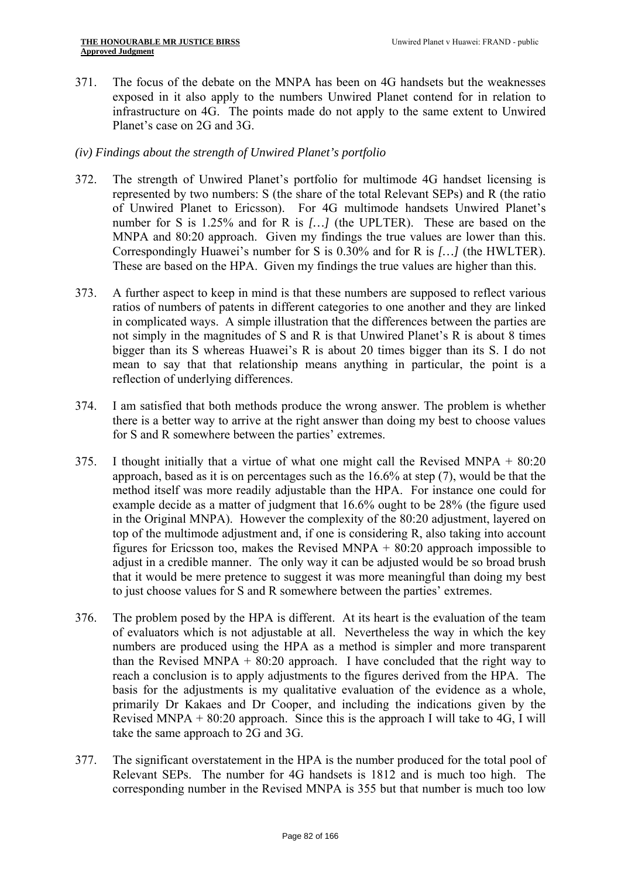371. The focus of the debate on the MNPA has been on 4G handsets but the weaknesses exposed in it also apply to the numbers Unwired Planet contend for in relation to infrastructure on 4G. The points made do not apply to the same extent to Unwired Planet's case on 2G and 3G.

#### *(iv) Findings about the strength of Unwired Planet's portfolio*

- Correspondingly Huawei's number for S is 0.30% and for R is [...] (the HWLTER). 372. The strength of Unwired Planet's portfolio for multimode 4G handset licensing is represented by two numbers: S (the share of the total Relevant SEPs) and R (the ratio of Unwired Planet to Ericsson). For 4G multimode handsets Unwired Planet's number for S is 1.25% and for R is *[…]* (the UPLTER). These are based on the MNPA and 80:20 approach. Given my findings the true values are lower than this. These are based on the HPA. Given my findings the true values are higher than this.
- 373. A further aspect to keep in mind is that these numbers are supposed to reflect various ratios of numbers of patents in different categories to one another and they are linked in complicated ways. A simple illustration that the differences between the parties are not simply in the magnitudes of S and R is that Unwired Planet's R is about 8 times bigger than its S whereas Huawei's R is about 20 times bigger than its S. I do not mean to say that that relationship means anything in particular, the point is a reflection of underlying differences.
- 374. I am satisfied that both methods produce the wrong answer. The problem is whether there is a better way to arrive at the right answer than doing my best to choose values for S and R somewhere between the parties' extremes.
- 375. I thought initially that a virtue of what one might call the Revised MNPA  $+ 80:20$ approach, based as it is on percentages such as the 16.6% at step (7), would be that the method itself was more readily adjustable than the HPA. For instance one could for example decide as a matter of judgment that 16.6% ought to be 28% (the figure used in the Original MNPA). However the complexity of the 80:20 adjustment, layered on top of the multimode adjustment and, if one is considering R, also taking into account figures for Ericsson too, makes the Revised MNPA  $+$  80:20 approach impossible to adjust in a credible manner. The only way it can be adjusted would be so broad brush that it would be mere pretence to suggest it was more meaningful than doing my best to just choose values for S and R somewhere between the parties' extremes.
- 376. The problem posed by the HPA is different. At its heart is the evaluation of the team of evaluators which is not adjustable at all. Nevertheless the way in which the key numbers are produced using the HPA as a method is simpler and more transparent than the Revised MNPA  $+$  80:20 approach. I have concluded that the right way to reach a conclusion is to apply adjustments to the figures derived from the HPA. The basis for the adjustments is my qualitative evaluation of the evidence as a whole, primarily Dr Kakaes and Dr Cooper, and including the indications given by the Revised MNPA  $+80:20$  approach. Since this is the approach I will take to 4G, I will take the same approach to 2G and 3G.
- 377. The significant overstatement in the HPA is the number produced for the total pool of Relevant SEPs. The number for 4G handsets is 1812 and is much too high. The corresponding number in the Revised MNPA is 355 but that number is much too low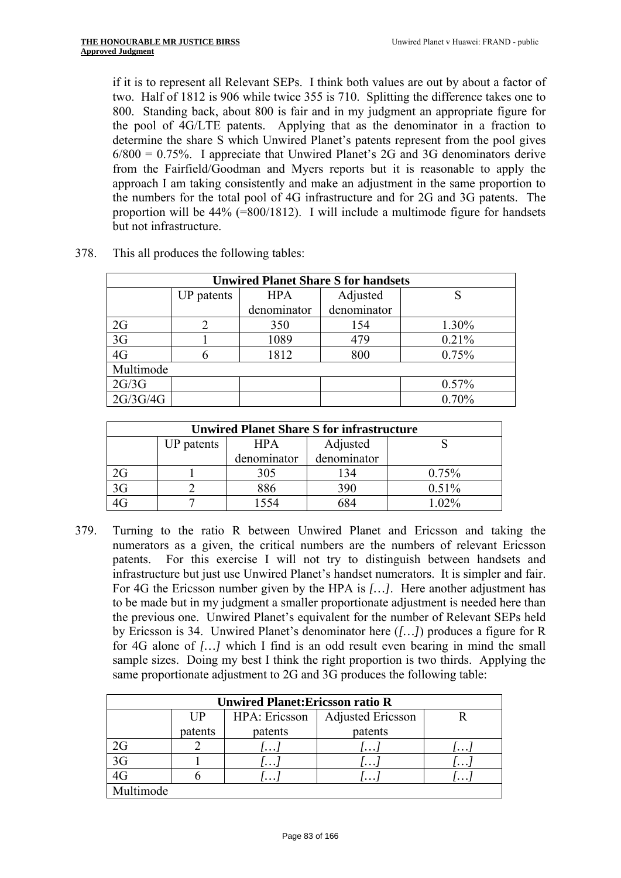if it is to represent all Relevant SEPs. I think both values are out by about a factor of two. Half of 1812 is 906 while twice 355 is 710. Splitting the difference takes one to 800. Standing back, about 800 is fair and in my judgment an appropriate figure for the pool of 4G/LTE patents. Applying that as the denominator in a fraction to determine the share S which Unwired Planet's patents represent from the pool gives  $6/800 = 0.75\%$ . I appreciate that Unwired Planet's 2G and 3G denominators derive from the Fairfield/Goodman and Myers reports but it is reasonable to apply the approach I am taking consistently and make an adjustment in the same proportion to the numbers for the total pool of 4G infrastructure and for 2G and 3G patents. The proportion will be 44% (=800/1812). I will include a multimode figure for handsets but not infrastructure.

| <b>Unwired Planet Share S for handsets</b> |            |             |             |       |  |  |
|--------------------------------------------|------------|-------------|-------------|-------|--|--|
|                                            | UP patents | <b>HPA</b>  | Adjusted    |       |  |  |
|                                            |            | denominator | denominator |       |  |  |
| 2G                                         |            | 350         | 154         | 1.30% |  |  |
| 3G                                         |            | 1089        | 479         | 0.21% |  |  |
| 4G                                         |            | 1812        | 800         | 0.75% |  |  |
| Multimode                                  |            |             |             |       |  |  |
| 2G/3G                                      |            |             |             | 0.57% |  |  |
| 2G/3G/4G                                   |            |             |             | 0.70% |  |  |

378. This all produces the following tables:

| <b>Unwired Planet Share S for infrastructure</b> |            |             |             |          |  |
|--------------------------------------------------|------------|-------------|-------------|----------|--|
|                                                  | UP patents | <b>HPA</b>  | Adjusted    |          |  |
|                                                  |            | denominator | denominator |          |  |
|                                                  |            | 305         | 134         | 0.75%    |  |
|                                                  |            | 886         | 390         | 0.51%    |  |
|                                                  |            | 554         | 684         | $1.02\%$ |  |

379. Turning to the ratio R between Unwired Planet and Ericsson and taking the numerators as a given, the critical numbers are the numbers of relevant Ericsson patents. For this exercise I will not try to distinguish between handsets and infrastructure but just use Unwired Planet's handset numerators. It is simpler and fair. For 4G the Ericsson number given by the HPA is *[…]*. Here another adjustment has to be made but in my judgment a smaller proportionate adjustment is needed here than the previous one. Unwired Planet's equivalent for the number of Relevant SEPs held by Ericsson is 34. Unwired Planet's denominator here (*[…]*) produces a figure for R for 4G alone of *[…]* which I find is an odd result even bearing in mind the small sample sizes. Doing my best I think the right proportion is two thirds. Applying the same proportionate adjustment to 2G and 3G produces the following table:

| <b>Unwired Planet: Ericsson ratio R</b> |         |               |                          |          |  |
|-----------------------------------------|---------|---------------|--------------------------|----------|--|
|                                         | I JP    | HPA: Ericsson | <b>Adjusted Ericsson</b> |          |  |
|                                         | patents | patents       | patents                  |          |  |
| 2G                                      |         | $\cdots$      | $\cdots$                 | $\cdots$ |  |
| 3 <sub>G</sub>                          |         | $\cdots$      | $\cdots$                 | $\cdots$ |  |
|                                         |         | $\cdots$      | $\cdots$                 | $\cdots$ |  |
| Multimode                               |         |               |                          |          |  |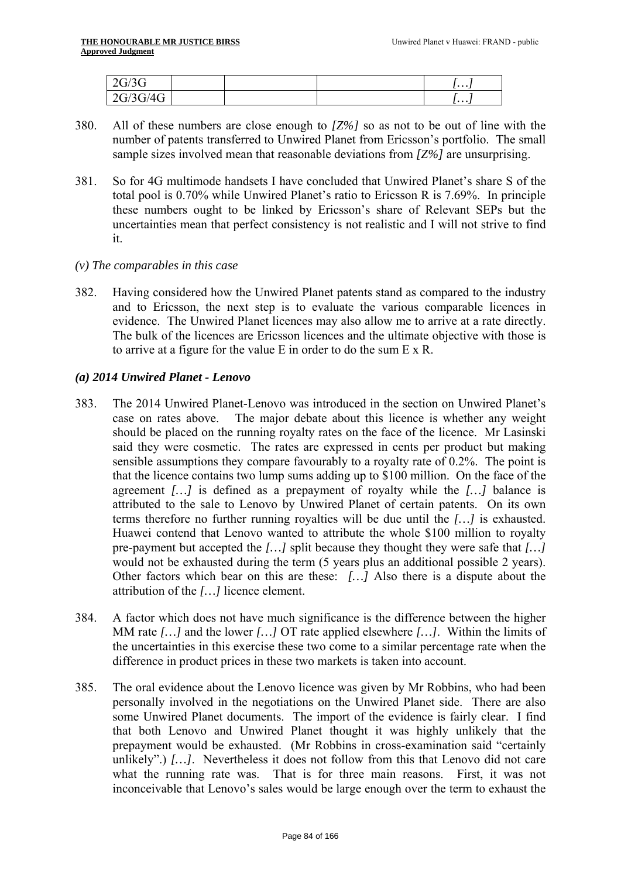| 2G/3G<br>2U/2U      |  | .  . |
|---------------------|--|------|
| $\omega$ 3G/4G $^+$ |  | .    |

- 380. All of these numbers are close enough to *[Z%]* so as not to be out of line with the number of patents transferred to Unwired Planet from Ericsson's portfolio. The small sample sizes involved mean that reasonable deviations from *[Z%]* are unsurprising.
- 381. So for 4G multimode handsets I have concluded that Unwired Planet's share S of the total pool is 0.70% while Unwired Planet's ratio to Ericsson R is 7.69%. In principle these numbers ought to be linked by Ericsson's share of Relevant SEPs but the uncertainties mean that perfect consistency is not realistic and I will not strive to find it.
- *(v) The comparables in this case*
- evidence. The Unwired Planet licences may also allow me to arrive at a rate directly. 382. Having considered how the Unwired Planet patents stand as compared to the industry and to Ericsson, the next step is to evaluate the various comparable licences in The bulk of the licences are Ericsson licences and the ultimate objective with those is to arrive at a figure for the value E in order to do the sum E x R.

# *(a) 2014 Unwired Planet - Lenovo*

- 383. The 2014 Unwired Planet-Lenovo was introduced in the section on Unwired Planet's case on rates above. The major debate about this licence is whether any weight should be placed on the running royalty rates on the face of the licence. Mr Lasinski said they were cosmetic. The rates are expressed in cents per product but making sensible assumptions they compare favourably to a royalty rate of 0.2%. The point is that the licence contains two lump sums adding up to \$100 million. On the face of the agreement *[…]* is defined as a prepayment of royalty while the *[…]* balance is attributed to the sale to Lenovo by Unwired Planet of certain patents. On its own terms therefore no further running royalties will be due until the *[…]* is exhausted. Huawei contend that Lenovo wanted to attribute the whole \$100 million to royalty pre-payment but accepted the *[…]* split because they thought they were safe that *[…]*  would not be exhausted during the term (5 years plus an additional possible 2 years). Other factors which bear on this are these: *[…]* Also there is a dispute about the attribution of the *[…]* licence element.
- 384. A factor which does not have much significance is the difference between the higher MM rate *[…]* and the lower *[…]* OT rate applied elsewhere *[…]*. Within the limits of the uncertainties in this exercise these two come to a similar percentage rate when the difference in product prices in these two markets is taken into account.
- 385. The oral evidence about the Lenovo licence was given by Mr Robbins, who had been personally involved in the negotiations on the Unwired Planet side. There are also some Unwired Planet documents. The import of the evidence is fairly clear. I find that both Lenovo and Unwired Planet thought it was highly unlikely that the prepayment would be exhausted. (Mr Robbins in cross-examination said "certainly unlikely".) [...]. Nevertheless it does not follow from this that Lenovo did not care what the running rate was. That is for three main reasons. First, it was not inconceivable that Lenovo's sales would be large enough over the term to exhaust the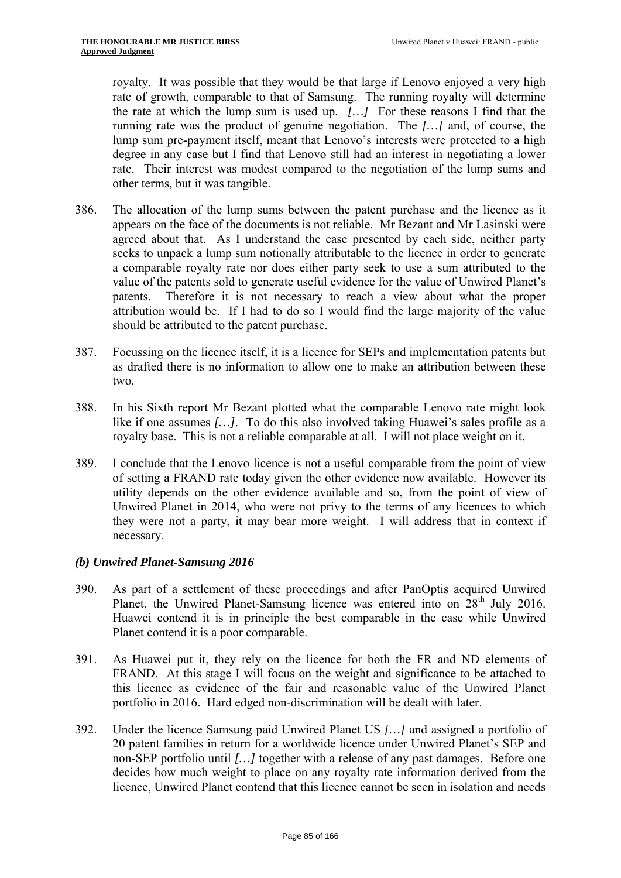royalty. It was possible that they would be that large if Lenovo enjoyed a very high rate of growth, comparable to that of Samsung. The running royalty will determine the rate at which the lump sum is used up. *[…]* For these reasons I find that the running rate was the product of genuine negotiation. The *[…]* and, of course, the lump sum pre-payment itself, meant that Lenovo's interests were protected to a high degree in any case but I find that Lenovo still had an interest in negotiating a lower rate. Their interest was modest compared to the negotiation of the lump sums and other terms, but it was tangible.

- 386. The allocation of the lump sums between the patent purchase and the licence as it appears on the face of the documents is not reliable. Mr Bezant and Mr Lasinski were agreed about that. As I understand the case presented by each side, neither party seeks to unpack a lump sum notionally attributable to the licence in order to generate a comparable royalty rate nor does either party seek to use a sum attributed to the value of the patents sold to generate useful evidence for the value of Unwired Planet's patents. Therefore it is not necessary to reach a view about what the proper attribution would be. If I had to do so I would find the large majority of the value should be attributed to the patent purchase.
- 387. Focussing on the licence itself, it is a licence for SEPs and implementation patents but as drafted there is no information to allow one to make an attribution between these two.
- 388. In his Sixth report Mr Bezant plotted what the comparable Lenovo rate might look like if one assumes *[…]*. To do this also involved taking Huawei's sales profile as a royalty base. This is not a reliable comparable at all. I will not place weight on it.
- 389. I conclude that the Lenovo licence is not a useful comparable from the point of view of setting a FRAND rate today given the other evidence now available. However its utility depends on the other evidence available and so, from the point of view of Unwired Planet in 2014, who were not privy to the terms of any licences to which they were not a party, it may bear more weight. I will address that in context if necessary.

# *(b) Unwired Planet-Samsung 2016*

- 390. As part of a settlement of these proceedings and after PanOptis acquired Unwired Planet, the Unwired Planet-Samsung licence was entered into on 28<sup>th</sup> July 2016. Huawei contend it is in principle the best comparable in the case while Unwired Planet contend it is a poor comparable.
- 391. As Huawei put it, they rely on the licence for both the FR and ND elements of FRAND. At this stage I will focus on the weight and significance to be attached to this licence as evidence of the fair and reasonable value of the Unwired Planet portfolio in 2016. Hard edged non-discrimination will be dealt with later.
- 392. Under the licence Samsung paid Unwired Planet US *[…]* and assigned a portfolio of 20 patent families in return for a worldwide licence under Unwired Planet's SEP and non-SEP portfolio until *[…]* together with a release of any past damages. Before one decides how much weight to place on any royalty rate information derived from the licence, Unwired Planet contend that this licence cannot be seen in isolation and needs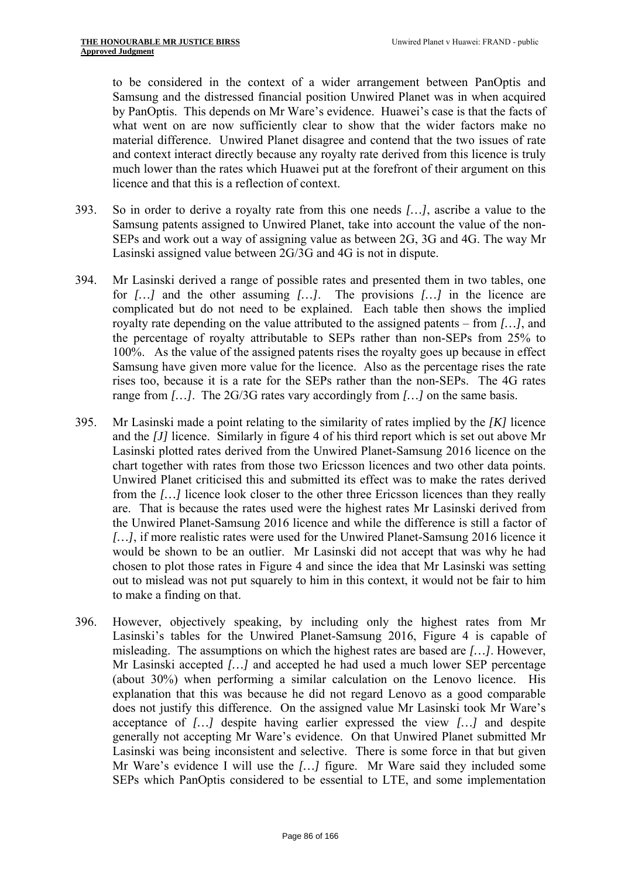to be considered in the context of a wider arrangement between PanOptis and Samsung and the distressed financial position Unwired Planet was in when acquired by PanOptis. This depends on Mr Ware's evidence. Huawei's case is that the facts of what went on are now sufficiently clear to show that the wider factors make no material difference. Unwired Planet disagree and contend that the two issues of rate and context interact directly because any royalty rate derived from this licence is truly much lower than the rates which Huawei put at the forefront of their argument on this licence and that this is a reflection of context.

- 393. So in order to derive a royalty rate from this one needs *[…]*, ascribe a value to the Samsung patents assigned to Unwired Planet, take into account the value of the non-SEPs and work out a way of assigning value as between 2G, 3G and 4G. The way Mr Lasinski assigned value between 2G/3G and 4G is not in dispute.
- 394. Mr Lasinski derived a range of possible rates and presented them in two tables, one for *[…]* and the other assuming *[…]*. The provisions *[…]* in the licence are complicated but do not need to be explained. Each table then shows the implied royalty rate depending on the value attributed to the assigned patents – from *[…]*, and the percentage of royalty attributable to SEPs rather than non-SEPs from 25% to 100%. As the value of the assigned patents rises the royalty goes up because in effect Samsung have given more value for the licence. Also as the percentage rises the rate rises too, because it is a rate for the SEPs rather than the non-SEPs. The 4G rates range from *[…]*. The 2G/3G rates vary accordingly from *[…]* on the same basis.
- chart together with rates from those two Ericsson licences and two other data points. Unwired Planet criticised this and submitted its effect was to make the rates derived 395. Mr Lasinski made a point relating to the similarity of rates implied by the *[K]* licence and the *[J]* licence. Similarly in figure 4 of his third report which is set out above Mr Lasinski plotted rates derived from the Unwired Planet-Samsung 2016 licence on the from the *[…]* licence look closer to the other three Ericsson licences than they really are. That is because the rates used were the highest rates Mr Lasinski derived from the Unwired Planet-Samsung 2016 licence and while the difference is still a factor of *[…]*, if more realistic rates were used for the Unwired Planet-Samsung 2016 licence it would be shown to be an outlier. Mr Lasinski did not accept that was why he had chosen to plot those rates in Figure 4 and since the idea that Mr Lasinski was setting out to mislead was not put squarely to him in this context, it would not be fair to him to make a finding on that.
- 396. However, objectively speaking, by including only the highest rates from Mr Lasinski's tables for the Unwired Planet-Samsung 2016, Figure 4 is capable of misleading. The assumptions on which the highest rates are based are *[…]*. However, Mr Lasinski accepted *[…]* and accepted he had used a much lower SEP percentage (about 30%) when performing a similar calculation on the Lenovo licence. His explanation that this was because he did not regard Lenovo as a good comparable does not justify this difference. On the assigned value Mr Lasinski took Mr Ware's acceptance of *[…]* despite having earlier expressed the view *[…]* and despite generally not accepting Mr Ware's evidence. On that Unwired Planet submitted Mr Lasinski was being inconsistent and selective. There is some force in that but given Mr Ware's evidence I will use the *[…]* figure. Mr Ware said they included some SEPs which PanOptis considered to be essential to LTE, and some implementation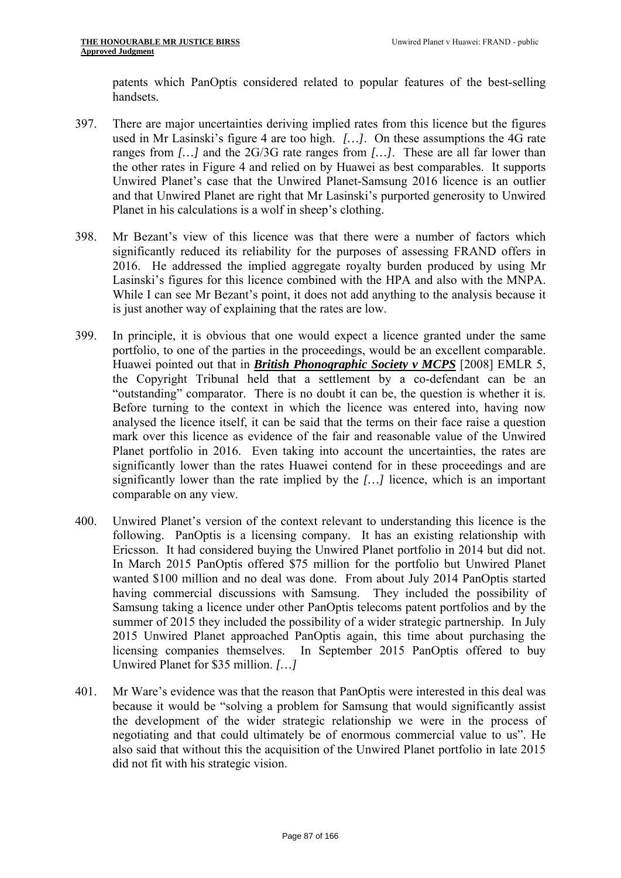patents which PanOptis considered related to popular features of the best-selling handsets.

- 397. There are major uncertainties deriving implied rates from this licence but the figures used in Mr Lasinski's figure 4 are too high. *[…]*. On these assumptions the 4G rate ranges from *[…]* and the 2G/3G rate ranges from *[…]*. These are all far lower than the other rates in Figure 4 and relied on by Huawei as best comparables. It supports Unwired Planet's case that the Unwired Planet-Samsung 2016 licence is an outlier and that Unwired Planet are right that Mr Lasinski's purported generosity to Unwired Planet in his calculations is a wolf in sheep's clothing.
- 398. Mr Bezant's view of this licence was that there were a number of factors which significantly reduced its reliability for the purposes of assessing FRAND offers in 2016. He addressed the implied aggregate royalty burden produced by using Mr Lasinski's figures for this licence combined with the HPA and also with the MNPA. While I can see Mr Bezant's point, it does not add anything to the analysis because it is just another way of explaining that the rates are low.
- portfolio, to one of the parties in the proceedings, would be an excellent comparable. 399. In principle, it is obvious that one would expect a licence granted under the same Huawei pointed out that in *British Phonographic Society v MCPS* [2008] EMLR 5, the Copyright Tribunal held that a settlement by a co-defendant can be an "outstanding" comparator. There is no doubt it can be, the question is whether it is. Before turning to the context in which the licence was entered into, having now analysed the licence itself, it can be said that the terms on their face raise a question mark over this licence as evidence of the fair and reasonable value of the Unwired Planet portfolio in 2016. Even taking into account the uncertainties, the rates are significantly lower than the rates Huawei contend for in these proceedings and are significantly lower than the rate implied by the *[…]* licence, which is an important comparable on any view.
- 400. Unwired Planet's version of the context relevant to understanding this licence is the following. PanOptis is a licensing company. It has an existing relationship with Ericsson. It had considered buying the Unwired Planet portfolio in 2014 but did not. In March 2015 PanOptis offered \$75 million for the portfolio but Unwired Planet wanted \$100 million and no deal was done. From about July 2014 PanOptis started having commercial discussions with Samsung. They included the possibility of Samsung taking a licence under other PanOptis telecoms patent portfolios and by the summer of 2015 they included the possibility of a wider strategic partnership. In July 2015 Unwired Planet approached PanOptis again, this time about purchasing the licensing companies themselves. In September 2015 PanOptis offered to buy Unwired Planet for \$35 million. *[…]*
- 401. Mr Ware's evidence was that the reason that PanOptis were interested in this deal was because it would be "solving a problem for Samsung that would significantly assist the development of the wider strategic relationship we were in the process of negotiating and that could ultimately be of enormous commercial value to us". He also said that without this the acquisition of the Unwired Planet portfolio in late 2015 did not fit with his strategic vision.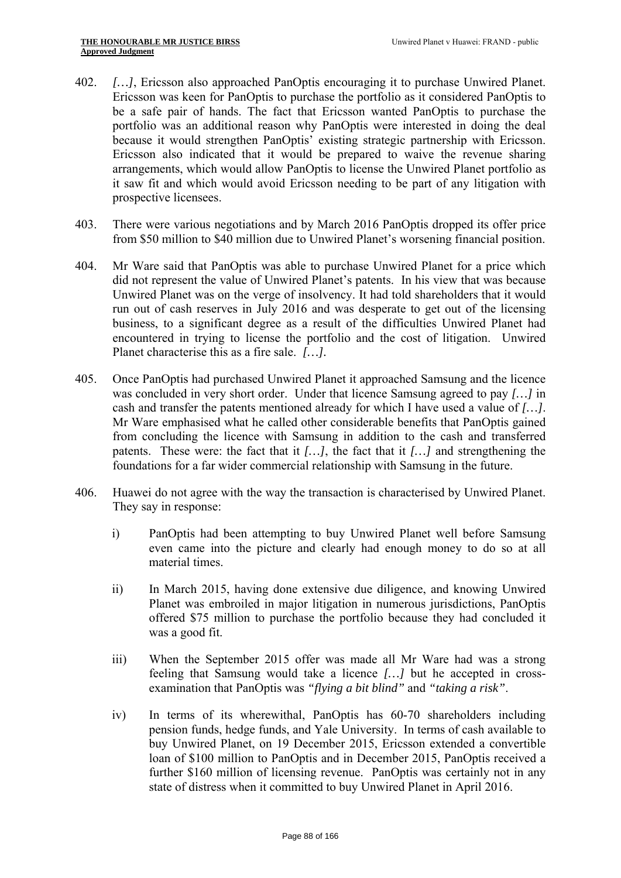- 402. *[…]*, Ericsson also approached PanOptis encouraging it to purchase Unwired Planet. Ericsson was keen for PanOptis to purchase the portfolio as it considered PanOptis to be a safe pair of hands. The fact that Ericsson wanted PanOptis to purchase the portfolio was an additional reason why PanOptis were interested in doing the deal because it would strengthen PanOptis' existing strategic partnership with Ericsson. Ericsson also indicated that it would be prepared to waive the revenue sharing arrangements, which would allow PanOptis to license the Unwired Planet portfolio as it saw fit and which would avoid Ericsson needing to be part of any litigation with prospective licensees.
- 403. There were various negotiations and by March 2016 PanOptis dropped its offer price from \$50 million to \$40 million due to Unwired Planet's worsening financial position.
- 404. Mr Ware said that PanOptis was able to purchase Unwired Planet for a price which did not represent the value of Unwired Planet's patents. In his view that was because Unwired Planet was on the verge of insolvency. It had told shareholders that it would run out of cash reserves in July 2016 and was desperate to get out of the licensing business, to a significant degree as a result of the difficulties Unwired Planet had encountered in trying to license the portfolio and the cost of litigation. Unwired Planet characterise this as a fire sale. *[…].*
- foundations for a far wider commercial relationship with Samsung in the future. 405. Once PanOptis had purchased Unwired Planet it approached Samsung and the licence was concluded in very short order. Under that licence Samsung agreed to pay *[…]* in cash and transfer the patents mentioned already for which I have used a value of *[…]*. Mr Ware emphasised what he called other considerable benefits that PanOptis gained from concluding the licence with Samsung in addition to the cash and transferred patents. These were: the fact that it *[…]*, the fact that it *[…]* and strengthening the
- 406. Huawei do not agree with the way the transaction is characterised by Unwired Planet. They say in response:
	- i) PanOptis had been attempting to buy Unwired Planet well before Samsung even came into the picture and clearly had enough money to do so at all material times.
	- ii) In March 2015, having done extensive due diligence, and knowing Unwired Planet was embroiled in major litigation in numerous jurisdictions, PanOptis offered \$75 million to purchase the portfolio because they had concluded it was a good fit.
	- iii) When the September 2015 offer was made all Mr Ware had was a strong feeling that Samsung would take a licence *[…]* but he accepted in crossexamination that PanOptis was *"flying a bit blind"* and *"taking a risk"*.
	- iv) In terms of its wherewithal, PanOptis has 60-70 shareholders including pension funds, hedge funds, and Yale University. In terms of cash available to buy Unwired Planet, on 19 December 2015, Ericsson extended a convertible loan of \$100 million to PanOptis and in December 2015, PanOptis received a further \$160 million of licensing revenue. PanOptis was certainly not in any state of distress when it committed to buy Unwired Planet in April 2016.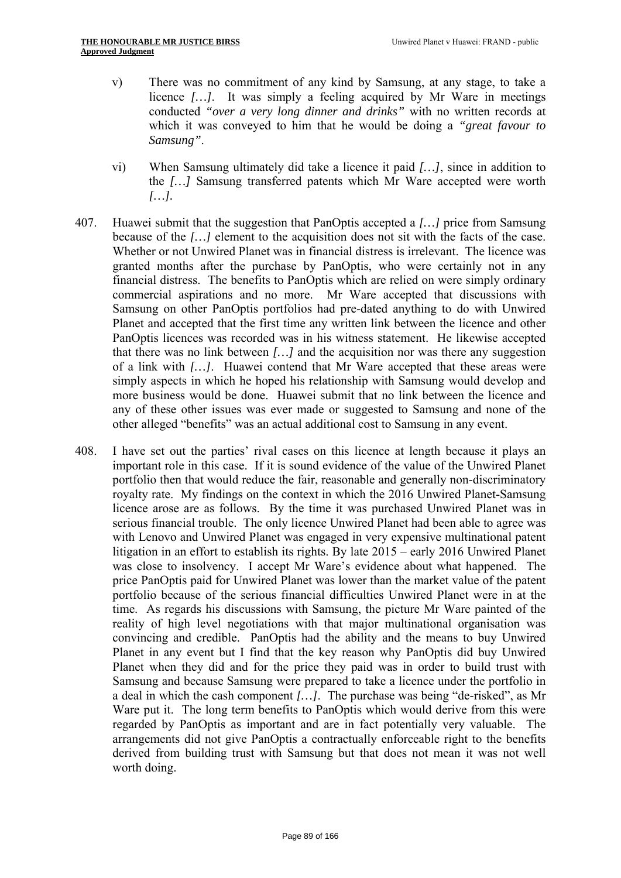- v) There was no commitment of any kind by Samsung, at any stage, to take a licence *[…]*. It was simply a feeling acquired by Mr Ware in meetings conducted *"over a very long dinner and drinks"* with no written records at which it was conveyed to him that he would be doing a *"great favour to Samsung"*.
- vi) When Samsung ultimately did take a licence it paid *[…]*, since in addition to the *[…]* Samsung transferred patents which Mr Ware accepted were worth *[…].*
- 407. Huawei submit that the suggestion that PanOptis accepted a *[…]* price from Samsung because of the *[…]* element to the acquisition does not sit with the facts of the case. Whether or not Unwired Planet was in financial distress is irrelevant. The licence was granted months after the purchase by PanOptis, who were certainly not in any financial distress. The benefits to PanOptis which are relied on were simply ordinary commercial aspirations and no more. Mr Ware accepted that discussions with Samsung on other PanOptis portfolios had pre-dated anything to do with Unwired Planet and accepted that the first time any written link between the licence and other PanOptis licences was recorded was in his witness statement. He likewise accepted that there was no link between *[…]* and the acquisition nor was there any suggestion of a link with *[…]*. Huawei contend that Mr Ware accepted that these areas were simply aspects in which he hoped his relationship with Samsung would develop and more business would be done. Huawei submit that no link between the licence and any of these other issues was ever made or suggested to Samsung and none of the other alleged "benefits" was an actual additional cost to Samsung in any event.
- 408. I have set out the parties' rival cases on this licence at length because it plays an important role in this case. If it is sound evidence of the value of the Unwired Planet portfolio then that would reduce the fair, reasonable and generally non-discriminatory royalty rate. My findings on the context in which the 2016 Unwired Planet-Samsung licence arose are as follows. By the time it was purchased Unwired Planet was in serious financial trouble. The only licence Unwired Planet had been able to agree was with Lenovo and Unwired Planet was engaged in very expensive multinational patent litigation in an effort to establish its rights. By late 2015 – early 2016 Unwired Planet was close to insolvency. I accept Mr Ware's evidence about what happened. The price PanOptis paid for Unwired Planet was lower than the market value of the patent portfolio because of the serious financial difficulties Unwired Planet were in at the time. As regards his discussions with Samsung, the picture Mr Ware painted of the reality of high level negotiations with that major multinational organisation was convincing and credible. PanOptis had the ability and the means to buy Unwired Planet in any event but I find that the key reason why PanOptis did buy Unwired Planet when they did and for the price they paid was in order to build trust with Samsung and because Samsung were prepared to take a licence under the portfolio in a deal in which the cash component *[…]*. The purchase was being "de-risked", as Mr Ware put it. The long term benefits to PanOptis which would derive from this were regarded by PanOptis as important and are in fact potentially very valuable. The arrangements did not give PanOptis a contractually enforceable right to the benefits derived from building trust with Samsung but that does not mean it was not well worth doing.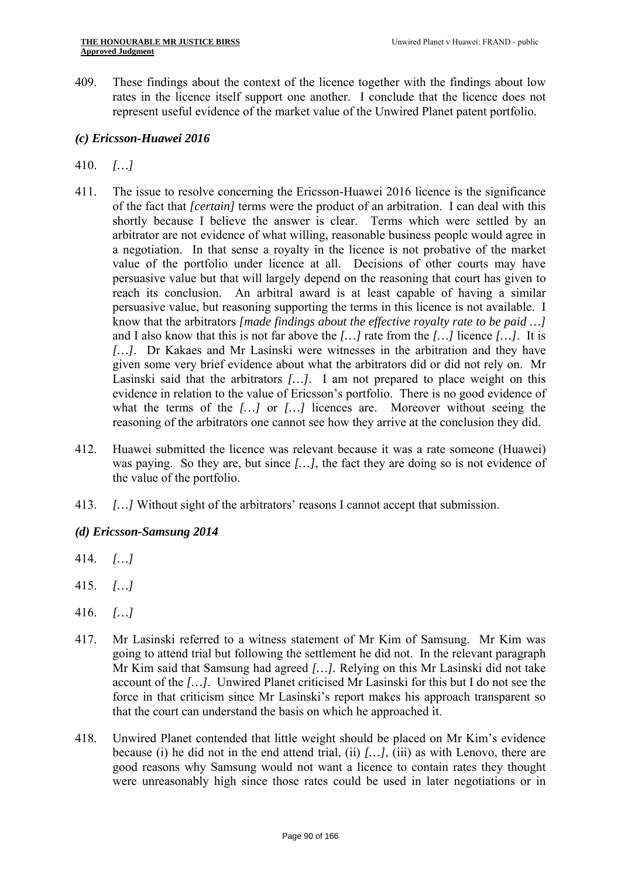409. These findings about the context of the licence together with the findings about low rates in the licence itself support one another. I conclude that the licence does not represent useful evidence of the market value of the Unwired Planet patent portfolio.

#### *(c) Ericsson-Huawei 2016*

# 410. *[…]*

- know that the arbitrators *[made findings about the effective royalty rate to be paid …]*  what the terms of the […] or […] licences are. Moreover without seeing the 411. The issue to resolve concerning the Ericsson-Huawei 2016 licence is the significance of the fact that *[certain]* terms were the product of an arbitration. I can deal with this shortly because I believe the answer is clear. Terms which were settled by an arbitrator are not evidence of what willing, reasonable business people would agree in a negotiation. In that sense a royalty in the licence is not probative of the market value of the portfolio under licence at all. Decisions of other courts may have persuasive value but that will largely depend on the reasoning that court has given to reach its conclusion. An arbitral award is at least capable of having a similar persuasive value, but reasoning supporting the terms in this licence is not available. I and I also know that this is not far above the *[…]* rate from the *[…]* licence *[…]*. It is *[…]*. Dr Kakaes and Mr Lasinski were witnesses in the arbitration and they have given some very brief evidence about what the arbitrators did or did not rely on. Mr Lasinski said that the arbitrators *[…]*. I am not prepared to place weight on this evidence in relation to the value of Ericsson's portfolio. There is no good evidence of reasoning of the arbitrators one cannot see how they arrive at the conclusion they did.
- 412. Huawei submitted the licence was relevant because it was a rate someone (Huawei) was paying. So they are, but since *[…]*, the fact they are doing so is not evidence of the value of the portfolio.
- 413. *[…]* Without sight of the arbitrators' reasons I cannot accept that submission.

# *(d) Ericsson-Samsung 2014*

- 414. *[…]*
- 415. *[…]*
- 416. *[…]*
- 417. Mr Lasinski referred to a witness statement of Mr Kim of Samsung. Mr Kim was going to attend trial but following the settlement he did not. In the relevant paragraph Mr Kim said that Samsung had agreed *[…].* Relying on this Mr Lasinski did not take account of the *[…]*. Unwired Planet criticised Mr Lasinski for this but I do not see the force in that criticism since Mr Lasinski's report makes his approach transparent so that the court can understand the basis on which he approached it.
- 418. Unwired Planet contended that little weight should be placed on Mr Kim's evidence because (i) he did not in the end attend trial, (ii) *[…]*, (iii) as with Lenovo, there are good reasons why Samsung would not want a licence to contain rates they thought were unreasonably high since those rates could be used in later negotiations or in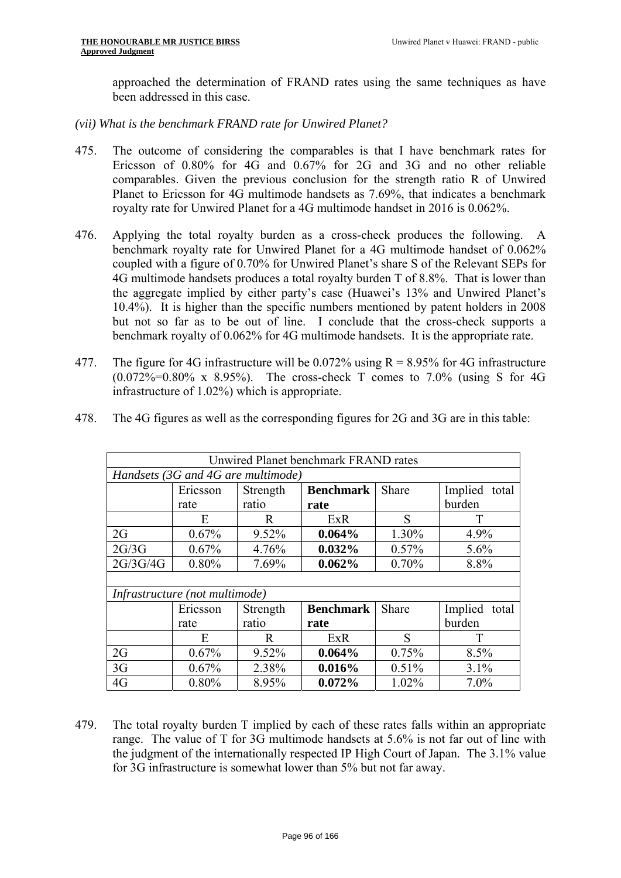approached the determination of FRAND rates using the same techniques as have been addressed in this case.

*(vii) What is the benchmark FRAND rate for Unwired Planet?* 

- 475. The outcome of considering the comparables is that I have benchmark rates for Ericsson of 0.80% for 4G and 0.67% for 2G and 3G and no other reliable comparables. Given the previous conclusion for the strength ratio R of Unwired Planet to Ericsson for 4G multimode handsets as 7.69%, that indicates a benchmark royalty rate for Unwired Planet for a 4G multimode handset in 2016 is 0.062%.
- 476. Applying the total royalty burden as a cross-check produces the following. A benchmark royalty rate for Unwired Planet for a 4G multimode handset of 0.062% coupled with a figure of 0.70% for Unwired Planet's share S of the Relevant SEPs for 4G multimode handsets produces a total royalty burden T of 8.8%. That is lower than the aggregate implied by either party's case (Huawei's 13% and Unwired Planet's 10.4%). It is higher than the specific numbers mentioned by patent holders in 2008 but not so far as to be out of line. I conclude that the cross-check supports a benchmark royalty of 0.062% for 4G multimode handsets. It is the appropriate rate.
- 477. The figure for 4G infrastructure will be 0.072% using  $R = 8.95\%$  for 4G infrastructure (0.072%=0.80% x 8.95%). The cross-check T comes to 7.0% (using S for 4G infrastructure of 1.02%) which is appropriate.

|          |                                |                                    | Unwired Planet benchmark FRAND rates |              |                  |
|----------|--------------------------------|------------------------------------|--------------------------------------|--------------|------------------|
|          |                                | Handsets (3G and 4G are multimode) |                                      |              |                  |
|          | Ericsson                       | Strength                           | <b>Benchmark</b>                     | <b>Share</b> | Implied<br>total |
|          | rate                           | ratio                              | rate                                 |              | burden           |
|          | E                              | R                                  | ExR                                  | S            | T                |
| 2G       | 0.67%                          | 9.52%                              | 0.064%                               | 1.30%        | 4.9%             |
| 2G/3G    | 0.67%                          | 4.76%                              | 0.032%                               | 0.57%        | 5.6%             |
| 2G/3G/4G | 0.80%                          | 7.69%                              | 0.062%                               | 0.70%        | 8.8%             |
|          |                                |                                    |                                      |              |                  |
|          | Infrastructure (not multimode) |                                    |                                      |              |                  |
|          | Ericsson                       | Strength                           | <b>Benchmark</b>                     | Share        | Implied<br>total |
|          | rate                           | ratio                              | rate                                 |              | burden           |
|          | E                              | R                                  | ExR                                  | S            | T                |
| 2G       | 0.67%                          | 9.52%                              | 0.064%                               | 0.75%        | 8.5%             |
| 3G       | 0.67%                          | 2.38%                              | 0.016%                               | 0.51%        | 3.1%             |
| 4G       | 0.80%                          | 8.95%                              | 0.072%                               | 1.02%        | 7.0%             |

478. The 4G figures as well as the corresponding figures for 2G and 3G are in this table:

479. The total royalty burden T implied by each of these rates falls within an appropriate range. The value of T for 3G multimode handsets at 5.6% is not far out of line with the judgment of the internationally respected IP High Court of Japan. The 3.1% value for 3G infrastructure is somewhat lower than 5% but not far away.